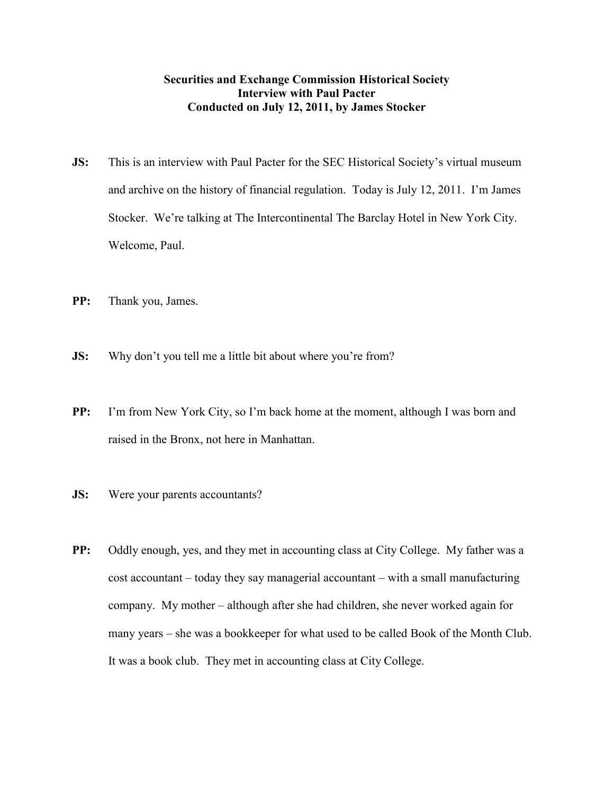## **Securities and Exchange Commission Historical Society Interview with Paul Pacter Conducted on July 12, 2011, by James Stocker**

- **JS:** This is an interview with Paul Pacter for the SEC Historical Society's virtual museum and archive on the history of financial regulation. Today is July 12, 2011. I'm James Stocker. We're talking at The Intercontinental The Barclay Hotel in New York City. Welcome, Paul.
- **PP:** Thank you, James.
- **JS:** Why don't you tell me a little bit about where you're from?
- **PP:** I'm from New York City, so I'm back home at the moment, although I was born and raised in the Bronx, not here in Manhattan.
- **JS:** Were your parents accountants?
- **PP:** Oddly enough, yes, and they met in accounting class at City College. My father was a cost accountant – today they say managerial accountant – with a small manufacturing company. My mother – although after she had children, she never worked again for many years – she was a bookkeeper for what used to be called Book of the Month Club. It was a book club. They met in accounting class at City College.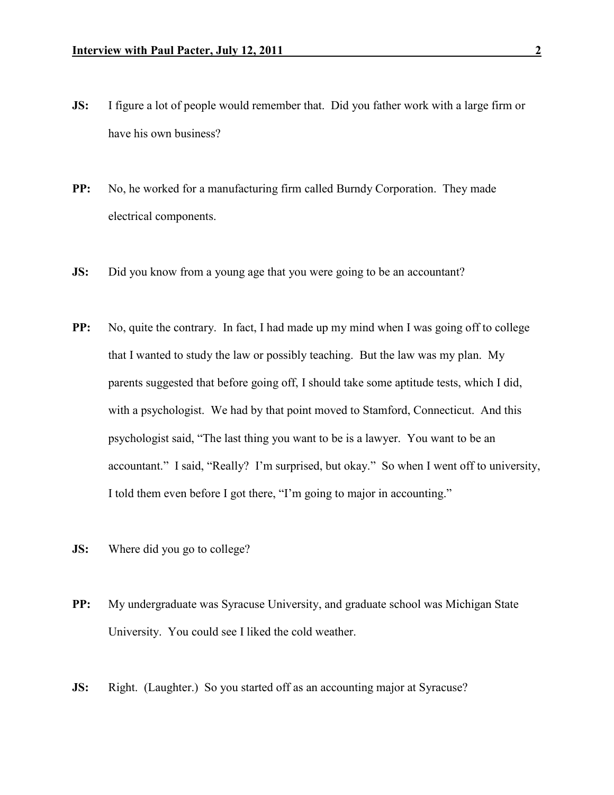- **JS:** I figure a lot of people would remember that. Did you father work with a large firm or have his own business?
- **PP:** No, he worked for a manufacturing firm called Burndy Corporation. They made electrical components.
- **JS:** Did you know from a young age that you were going to be an accountant?
- **PP:** No, quite the contrary. In fact, I had made up my mind when I was going off to college that I wanted to study the law or possibly teaching. But the law was my plan. My parents suggested that before going off, I should take some aptitude tests, which I did, with a psychologist. We had by that point moved to Stamford, Connecticut. And this psychologist said, "The last thing you want to be is a lawyer. You want to be an accountant." I said, "Really? I'm surprised, but okay." So when I went off to university, I told them even before I got there, "I'm going to major in accounting."
- **JS:** Where did you go to college?
- **PP:** My undergraduate was Syracuse University, and graduate school was Michigan State University. You could see I liked the cold weather.
- **JS:** Right. (Laughter.) So you started off as an accounting major at Syracuse?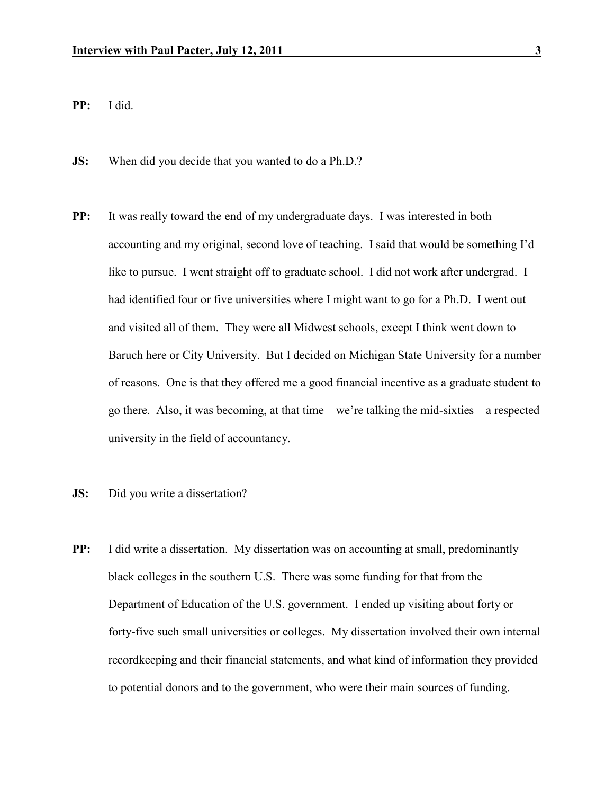**PP:** I did.

- **JS:** When did you decide that you wanted to do a Ph.D.?
- **PP:** It was really toward the end of my undergraduate days. I was interested in both accounting and my original, second love of teaching. I said that would be something I'd like to pursue. I went straight off to graduate school. I did not work after undergrad. I had identified four or five universities where I might want to go for a Ph.D. I went out and visited all of them. They were all Midwest schools, except I think went down to Baruch here or City University. But I decided on Michigan State University for a number of reasons. One is that they offered me a good financial incentive as a graduate student to go there. Also, it was becoming, at that time – we're talking the mid-sixties – a respected university in the field of accountancy.
- **JS:** Did you write a dissertation?
- **PP:** I did write a dissertation. My dissertation was on accounting at small, predominantly black colleges in the southern U.S. There was some funding for that from the Department of Education of the U.S. government. I ended up visiting about forty or forty-five such small universities or colleges. My dissertation involved their own internal recordkeeping and their financial statements, and what kind of information they provided to potential donors and to the government, who were their main sources of funding.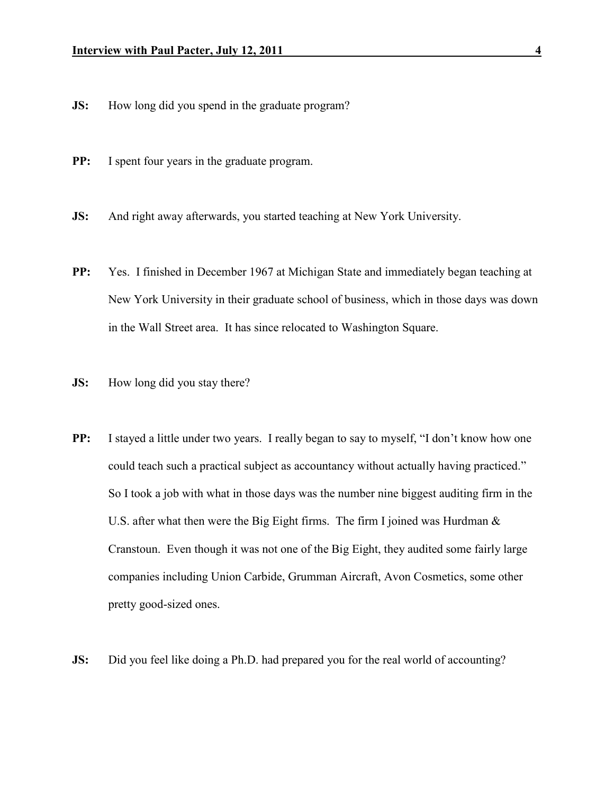- **JS:** How long did you spend in the graduate program?
- **PP:** I spent four years in the graduate program.
- **JS:** And right away afterwards, you started teaching at New York University.
- **PP:** Yes. I finished in December 1967 at Michigan State and immediately began teaching at New York University in their graduate school of business, which in those days was down in the Wall Street area. It has since relocated to Washington Square.
- **JS:** How long did you stay there?
- **PP:** I stayed a little under two years. I really began to say to myself, "I don't know how one could teach such a practical subject as accountancy without actually having practiced." So I took a job with what in those days was the number nine biggest auditing firm in the U.S. after what then were the Big Eight firms. The firm I joined was Hurdman  $\&$ Cranstoun. Even though it was not one of the Big Eight, they audited some fairly large companies including Union Carbide, Grumman Aircraft, Avon Cosmetics, some other pretty good-sized ones.
- **JS:** Did you feel like doing a Ph.D. had prepared you for the real world of accounting?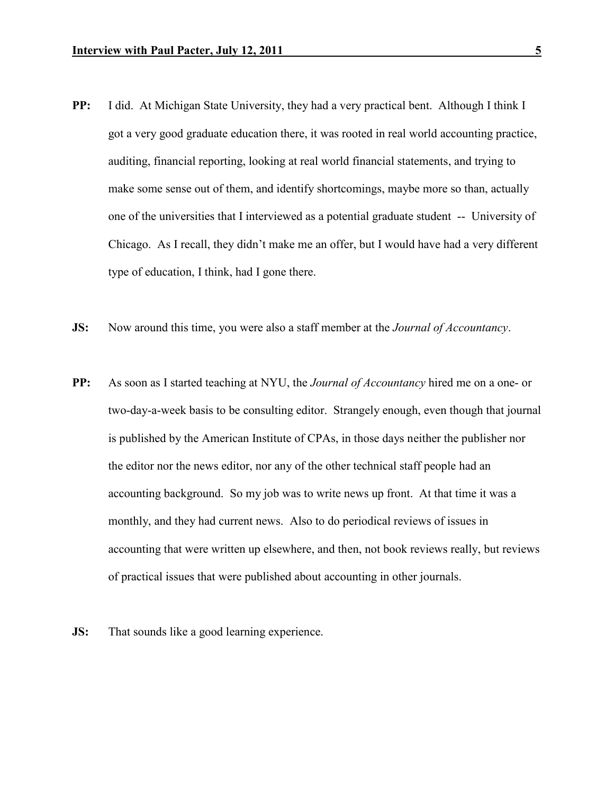- **PP:** I did. At Michigan State University, they had a very practical bent. Although I think I got a very good graduate education there, it was rooted in real world accounting practice, auditing, financial reporting, looking at real world financial statements, and trying to make some sense out of them, and identify shortcomings, maybe more so than, actually one of the universities that I interviewed as a potential graduate student -- University of Chicago. As I recall, they didn't make me an offer, but I would have had a very different type of education, I think, had I gone there.
- **JS:** Now around this time, you were also a staff member at the *Journal of Accountancy*.
- **PP:** As soon as I started teaching at NYU, the *Journal of Accountancy* hired me on a one- or two-day-a-week basis to be consulting editor. Strangely enough, even though that journal is published by the American Institute of CPAs, in those days neither the publisher nor the editor nor the news editor, nor any of the other technical staff people had an accounting background. So my job was to write news up front. At that time it was a monthly, and they had current news. Also to do periodical reviews of issues in accounting that were written up elsewhere, and then, not book reviews really, but reviews of practical issues that were published about accounting in other journals.
- **JS:** That sounds like a good learning experience.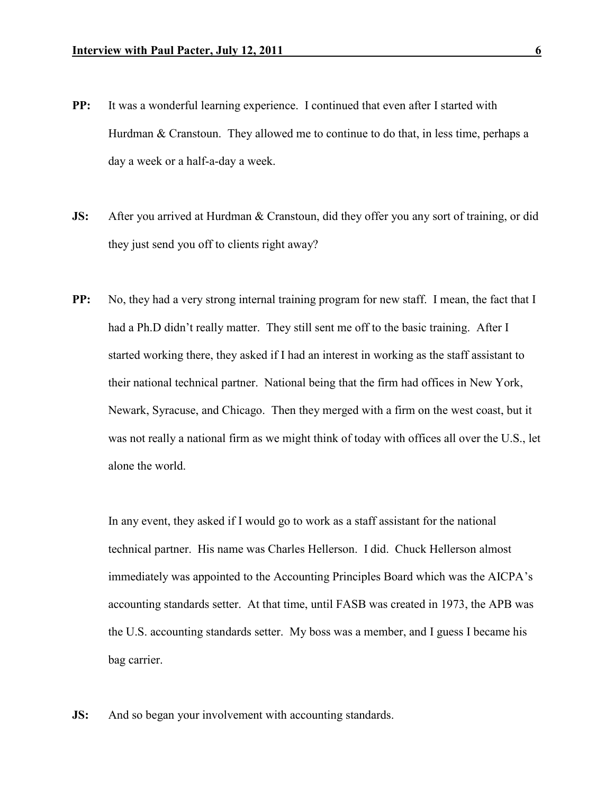- **PP:** It was a wonderful learning experience. I continued that even after I started with Hurdman & Cranstoun. They allowed me to continue to do that, in less time, perhaps a day a week or a half-a-day a week.
- **JS:** After you arrived at Hurdman & Cranstoun, did they offer you any sort of training, or did they just send you off to clients right away?
- **PP:** No, they had a very strong internal training program for new staff. I mean, the fact that I had a Ph.D didn't really matter. They still sent me off to the basic training. After I started working there, they asked if I had an interest in working as the staff assistant to their national technical partner. National being that the firm had offices in New York, Newark, Syracuse, and Chicago. Then they merged with a firm on the west coast, but it was not really a national firm as we might think of today with offices all over the U.S., let alone the world.

In any event, they asked if I would go to work as a staff assistant for the national technical partner. His name was Charles Hellerson. I did. Chuck Hellerson almost immediately was appointed to the Accounting Principles Board which was the AICPA's accounting standards setter. At that time, until FASB was created in 1973, the APB was the U.S. accounting standards setter. My boss was a member, and I guess I became his bag carrier.

**JS:** And so began your involvement with accounting standards.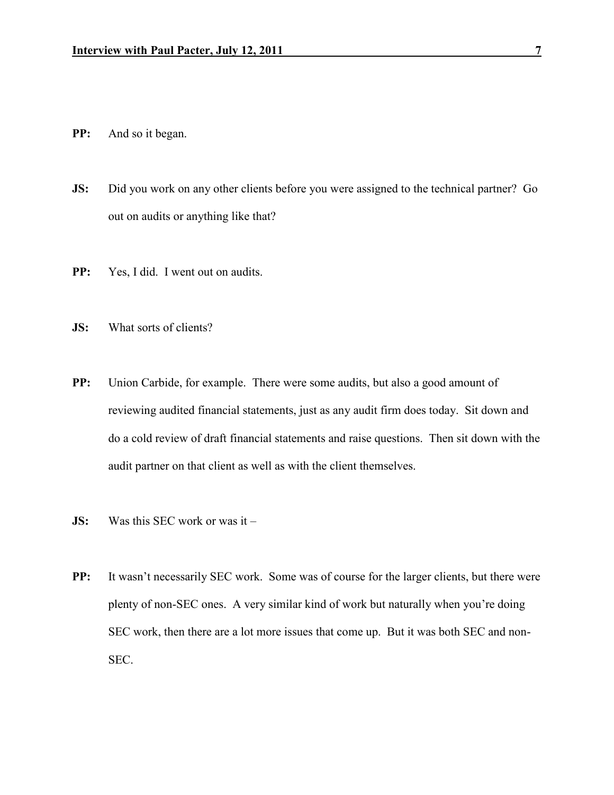- **PP:** And so it began.
- **JS:** Did you work on any other clients before you were assigned to the technical partner? Go out on audits or anything like that?
- **PP:** Yes, I did. I went out on audits.
- **JS:** What sorts of clients?
- **PP:** Union Carbide, for example. There were some audits, but also a good amount of reviewing audited financial statements, just as any audit firm does today. Sit down and do a cold review of draft financial statements and raise questions. Then sit down with the audit partner on that client as well as with the client themselves.
- **JS:** Was this SEC work or was it –
- **PP:** It wasn't necessarily SEC work. Some was of course for the larger clients, but there were plenty of non-SEC ones. A very similar kind of work but naturally when you're doing SEC work, then there are a lot more issues that come up. But it was both SEC and non-SEC.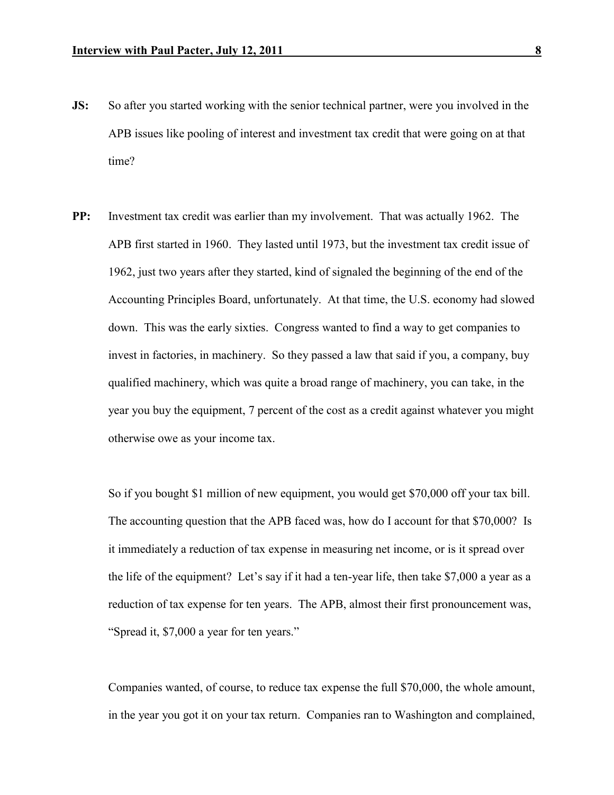- **JS:** So after you started working with the senior technical partner, were you involved in the APB issues like pooling of interest and investment tax credit that were going on at that time?
- **PP:** Investment tax credit was earlier than my involvement. That was actually 1962. The APB first started in 1960. They lasted until 1973, but the investment tax credit issue of 1962, just two years after they started, kind of signaled the beginning of the end of the Accounting Principles Board, unfortunately. At that time, the U.S. economy had slowed down. This was the early sixties. Congress wanted to find a way to get companies to invest in factories, in machinery. So they passed a law that said if you, a company, buy qualified machinery, which was quite a broad range of machinery, you can take, in the year you buy the equipment, 7 percent of the cost as a credit against whatever you might otherwise owe as your income tax.

So if you bought \$1 million of new equipment, you would get \$70,000 off your tax bill. The accounting question that the APB faced was, how do I account for that \$70,000? Is it immediately a reduction of tax expense in measuring net income, or is it spread over the life of the equipment? Let's say if it had a ten-year life, then take \$7,000 a year as a reduction of tax expense for ten years. The APB, almost their first pronouncement was, "Spread it, \$7,000 a year for ten years."

Companies wanted, of course, to reduce tax expense the full \$70,000, the whole amount, in the year you got it on your tax return. Companies ran to Washington and complained,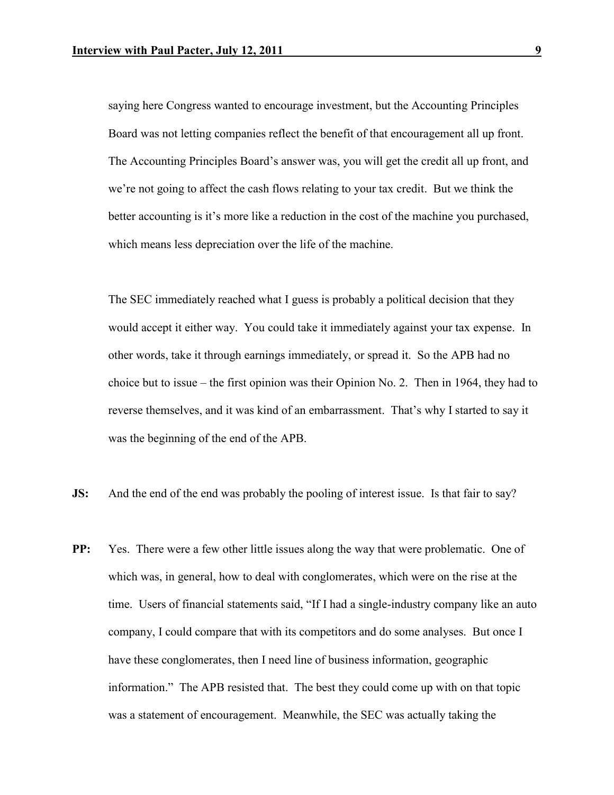saying here Congress wanted to encourage investment, but the Accounting Principles Board was not letting companies reflect the benefit of that encouragement all up front. The Accounting Principles Board's answer was, you will get the credit all up front, and we're not going to affect the cash flows relating to your tax credit. But we think the better accounting is it's more like a reduction in the cost of the machine you purchased, which means less depreciation over the life of the machine.

The SEC immediately reached what I guess is probably a political decision that they would accept it either way. You could take it immediately against your tax expense. In other words, take it through earnings immediately, or spread it. So the APB had no choice but to issue – the first opinion was their Opinion No. 2. Then in 1964, they had to reverse themselves, and it was kind of an embarrassment. That's why I started to say it was the beginning of the end of the APB.

- **JS:** And the end of the end was probably the pooling of interest issue. Is that fair to say?
- **PP:** Yes. There were a few other little issues along the way that were problematic. One of which was, in general, how to deal with conglomerates, which were on the rise at the time. Users of financial statements said, "If I had a single-industry company like an auto company, I could compare that with its competitors and do some analyses. But once I have these conglomerates, then I need line of business information, geographic information." The APB resisted that. The best they could come up with on that topic was a statement of encouragement. Meanwhile, the SEC was actually taking the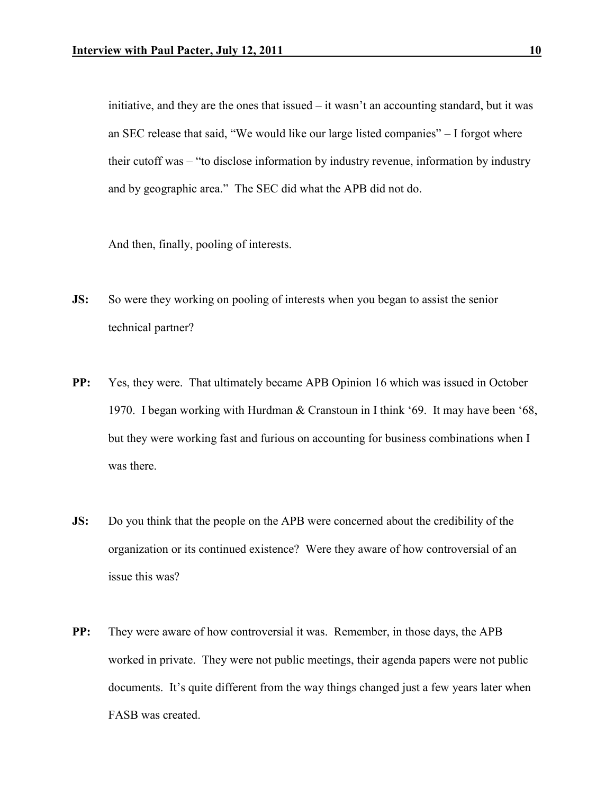initiative, and they are the ones that issued – it wasn't an accounting standard, but it was an SEC release that said, "We would like our large listed companies" – I forgot where their cutoff was – "to disclose information by industry revenue, information by industry and by geographic area." The SEC did what the APB did not do.

And then, finally, pooling of interests.

- **JS:** So were they working on pooling of interests when you began to assist the senior technical partner?
- **PP:** Yes, they were. That ultimately became APB Opinion 16 which was issued in October 1970. I began working with Hurdman & Cranstoun in I think '69. It may have been '68, but they were working fast and furious on accounting for business combinations when I was there.
- **JS:** Do you think that the people on the APB were concerned about the credibility of the organization or its continued existence? Were they aware of how controversial of an issue this was?
- **PP:** They were aware of how controversial it was. Remember, in those days, the APB worked in private. They were not public meetings, their agenda papers were not public documents. It's quite different from the way things changed just a few years later when FASB was created.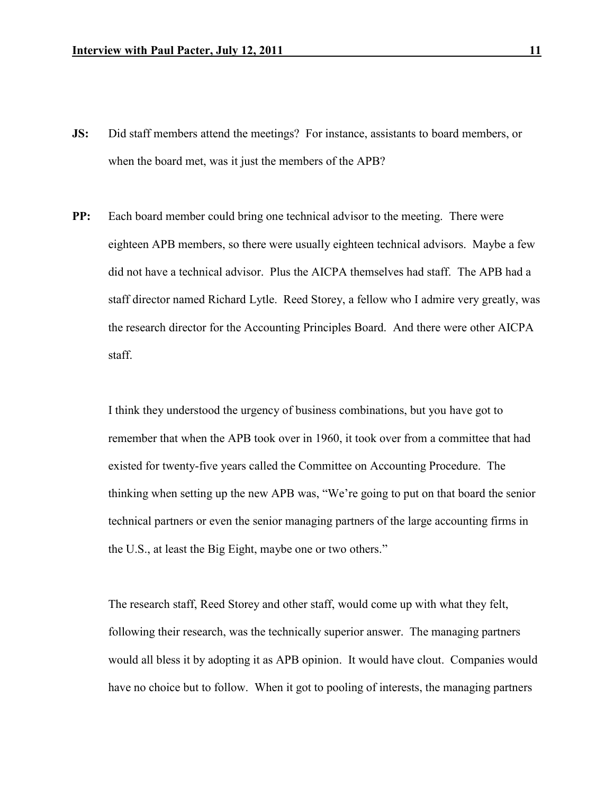- **JS:** Did staff members attend the meetings? For instance, assistants to board members, or when the board met, was it just the members of the APB?
- **PP:** Each board member could bring one technical advisor to the meeting. There were eighteen APB members, so there were usually eighteen technical advisors. Maybe a few did not have a technical advisor. Plus the AICPA themselves had staff. The APB had a staff director named Richard Lytle. Reed Storey, a fellow who I admire very greatly, was the research director for the Accounting Principles Board. And there were other AICPA staff.

I think they understood the urgency of business combinations, but you have got to remember that when the APB took over in 1960, it took over from a committee that had existed for twenty-five years called the Committee on Accounting Procedure. The thinking when setting up the new APB was, "We're going to put on that board the senior technical partners or even the senior managing partners of the large accounting firms in the U.S., at least the Big Eight, maybe one or two others."

The research staff, Reed Storey and other staff, would come up with what they felt, following their research, was the technically superior answer. The managing partners would all bless it by adopting it as APB opinion. It would have clout. Companies would have no choice but to follow. When it got to pooling of interests, the managing partners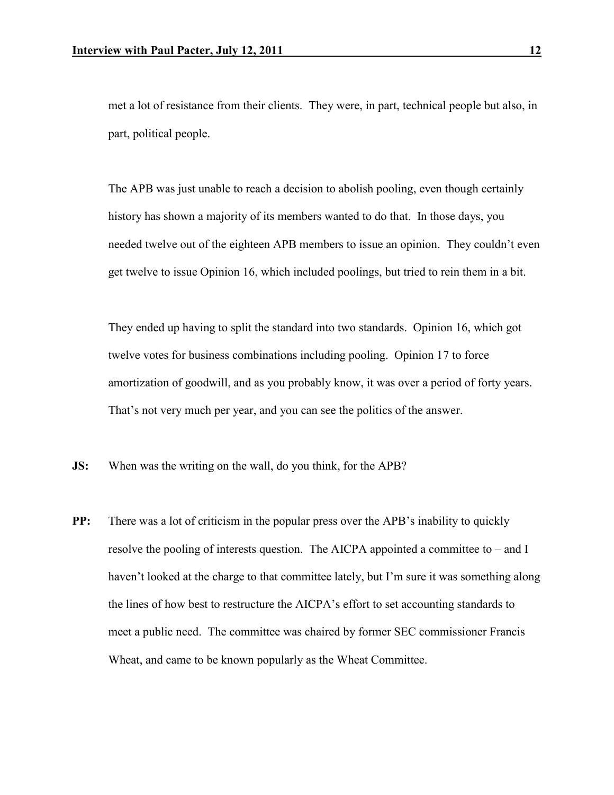met a lot of resistance from their clients. They were, in part, technical people but also, in part, political people.

The APB was just unable to reach a decision to abolish pooling, even though certainly history has shown a majority of its members wanted to do that. In those days, you needed twelve out of the eighteen APB members to issue an opinion. They couldn't even get twelve to issue Opinion 16, which included poolings, but tried to rein them in a bit.

They ended up having to split the standard into two standards. Opinion 16, which got twelve votes for business combinations including pooling. Opinion 17 to force amortization of goodwill, and as you probably know, it was over a period of forty years. That's not very much per year, and you can see the politics of the answer.

- **JS:** When was the writing on the wall, do you think, for the APB?
- **PP:** There was a lot of criticism in the popular press over the APB's inability to quickly resolve the pooling of interests question. The AICPA appointed a committee to – and I haven't looked at the charge to that committee lately, but I'm sure it was something along the lines of how best to restructure the AICPA's effort to set accounting standards to meet a public need. The committee was chaired by former SEC commissioner Francis Wheat, and came to be known popularly as the Wheat Committee.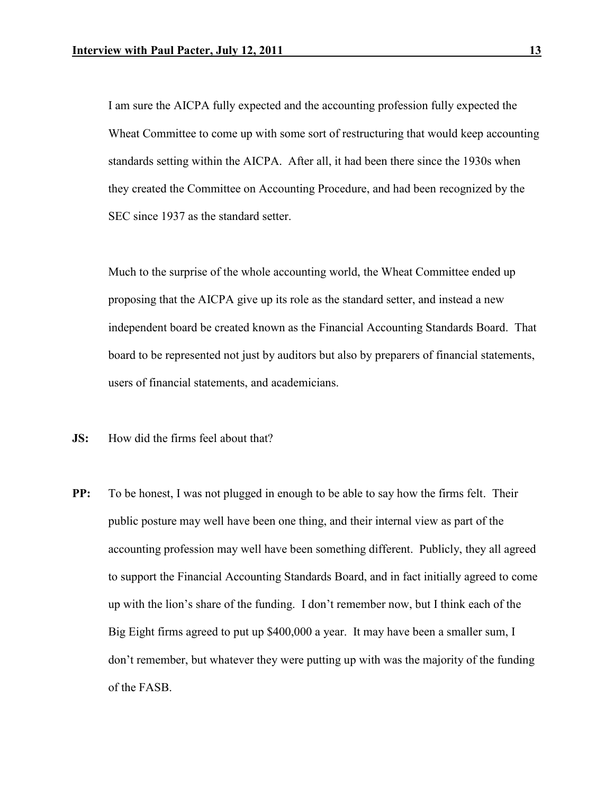I am sure the AICPA fully expected and the accounting profession fully expected the Wheat Committee to come up with some sort of restructuring that would keep accounting standards setting within the AICPA. After all, it had been there since the 1930s when they created the Committee on Accounting Procedure, and had been recognized by the SEC since 1937 as the standard setter.

Much to the surprise of the whole accounting world, the Wheat Committee ended up proposing that the AICPA give up its role as the standard setter, and instead a new independent board be created known as the Financial Accounting Standards Board. That board to be represented not just by auditors but also by preparers of financial statements, users of financial statements, and academicians.

- **JS:** How did the firms feel about that?
- **PP:** To be honest, I was not plugged in enough to be able to say how the firms felt. Their public posture may well have been one thing, and their internal view as part of the accounting profession may well have been something different. Publicly, they all agreed to support the Financial Accounting Standards Board, and in fact initially agreed to come up with the lion's share of the funding. I don't remember now, but I think each of the Big Eight firms agreed to put up \$400,000 a year. It may have been a smaller sum, I don't remember, but whatever they were putting up with was the majority of the funding of the FASB.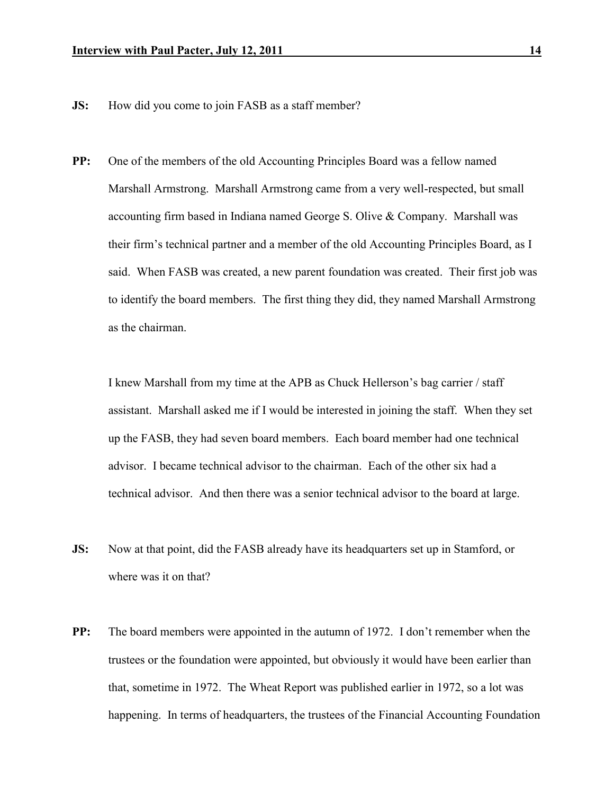- **JS:** How did you come to join FASB as a staff member?
- **PP:** One of the members of the old Accounting Principles Board was a fellow named Marshall Armstrong. Marshall Armstrong came from a very well-respected, but small accounting firm based in Indiana named George S. Olive & Company. Marshall was their firm's technical partner and a member of the old Accounting Principles Board, as I said. When FASB was created, a new parent foundation was created. Their first job was to identify the board members. The first thing they did, they named Marshall Armstrong as the chairman.

I knew Marshall from my time at the APB as Chuck Hellerson's bag carrier / staff assistant. Marshall asked me if I would be interested in joining the staff. When they set up the FASB, they had seven board members. Each board member had one technical advisor. I became technical advisor to the chairman. Each of the other six had a technical advisor. And then there was a senior technical advisor to the board at large.

- **JS:** Now at that point, did the FASB already have its headquarters set up in Stamford, or where was it on that?
- **PP:** The board members were appointed in the autumn of 1972. I don't remember when the trustees or the foundation were appointed, but obviously it would have been earlier than that, sometime in 1972. The Wheat Report was published earlier in 1972, so a lot was happening. In terms of headquarters, the trustees of the Financial Accounting Foundation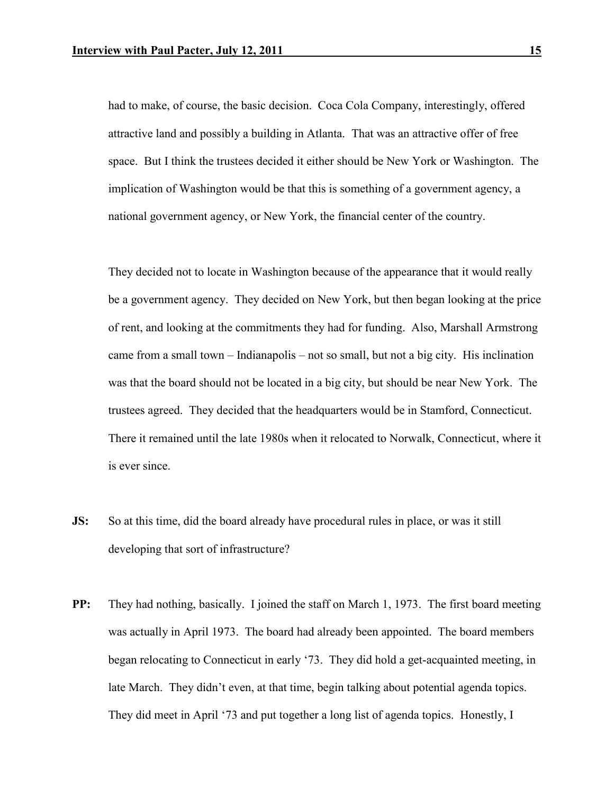had to make, of course, the basic decision. Coca Cola Company, interestingly, offered attractive land and possibly a building in Atlanta. That was an attractive offer of free space. But I think the trustees decided it either should be New York or Washington. The implication of Washington would be that this is something of a government agency, a national government agency, or New York, the financial center of the country.

They decided not to locate in Washington because of the appearance that it would really be a government agency. They decided on New York, but then began looking at the price of rent, and looking at the commitments they had for funding. Also, Marshall Armstrong came from a small town – Indianapolis – not so small, but not a big city. His inclination was that the board should not be located in a big city, but should be near New York. The trustees agreed. They decided that the headquarters would be in Stamford, Connecticut. There it remained until the late 1980s when it relocated to Norwalk, Connecticut, where it is ever since.

- **JS:** So at this time, did the board already have procedural rules in place, or was it still developing that sort of infrastructure?
- **PP:** They had nothing, basically. I joined the staff on March 1, 1973. The first board meeting was actually in April 1973. The board had already been appointed. The board members began relocating to Connecticut in early '73. They did hold a get-acquainted meeting, in late March. They didn't even, at that time, begin talking about potential agenda topics. They did meet in April '73 and put together a long list of agenda topics. Honestly, I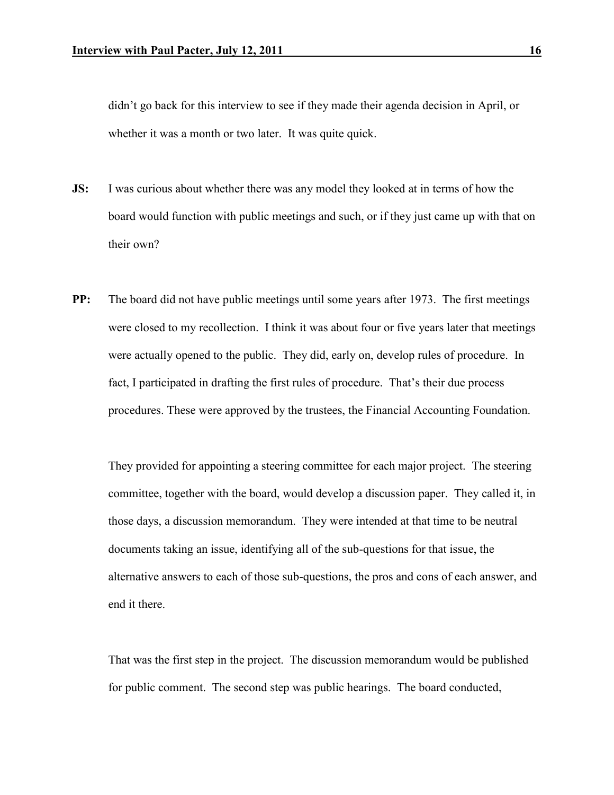didn't go back for this interview to see if they made their agenda decision in April, or whether it was a month or two later. It was quite quick.

- **JS:** I was curious about whether there was any model they looked at in terms of how the board would function with public meetings and such, or if they just came up with that on their own?
- **PP:** The board did not have public meetings until some years after 1973. The first meetings were closed to my recollection. I think it was about four or five years later that meetings were actually opened to the public. They did, early on, develop rules of procedure. In fact, I participated in drafting the first rules of procedure. That's their due process procedures. These were approved by the trustees, the Financial Accounting Foundation.

They provided for appointing a steering committee for each major project. The steering committee, together with the board, would develop a discussion paper. They called it, in those days, a discussion memorandum. They were intended at that time to be neutral documents taking an issue, identifying all of the sub-questions for that issue, the alternative answers to each of those sub-questions, the pros and cons of each answer, and end it there.

That was the first step in the project. The discussion memorandum would be published for public comment. The second step was public hearings. The board conducted,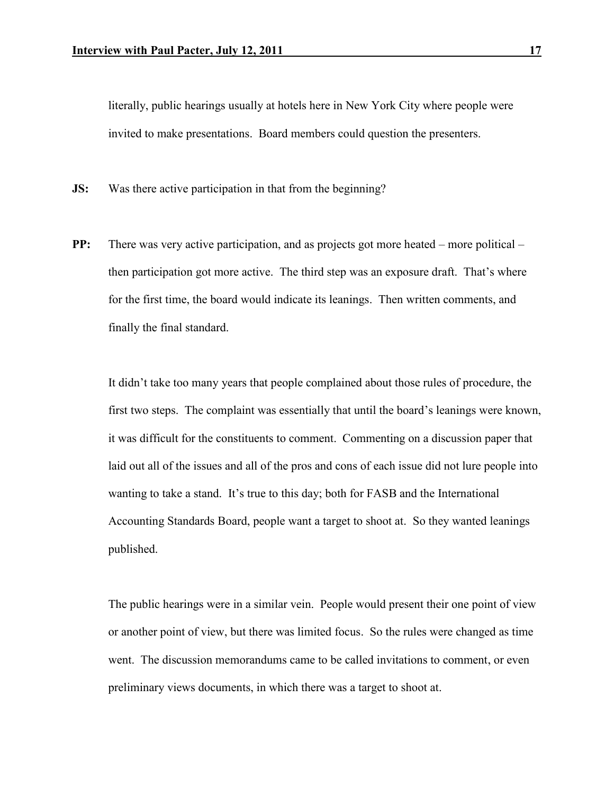literally, public hearings usually at hotels here in New York City where people were invited to make presentations. Board members could question the presenters.

**JS:** Was there active participation in that from the beginning?

**PP:** There was very active participation, and as projects got more heated – more political – then participation got more active. The third step was an exposure draft. That's where for the first time, the board would indicate its leanings. Then written comments, and finally the final standard.

It didn't take too many years that people complained about those rules of procedure, the first two steps. The complaint was essentially that until the board's leanings were known, it was difficult for the constituents to comment. Commenting on a discussion paper that laid out all of the issues and all of the pros and cons of each issue did not lure people into wanting to take a stand. It's true to this day; both for FASB and the International Accounting Standards Board, people want a target to shoot at. So they wanted leanings published.

The public hearings were in a similar vein. People would present their one point of view or another point of view, but there was limited focus. So the rules were changed as time went. The discussion memorandums came to be called invitations to comment, or even preliminary views documents, in which there was a target to shoot at.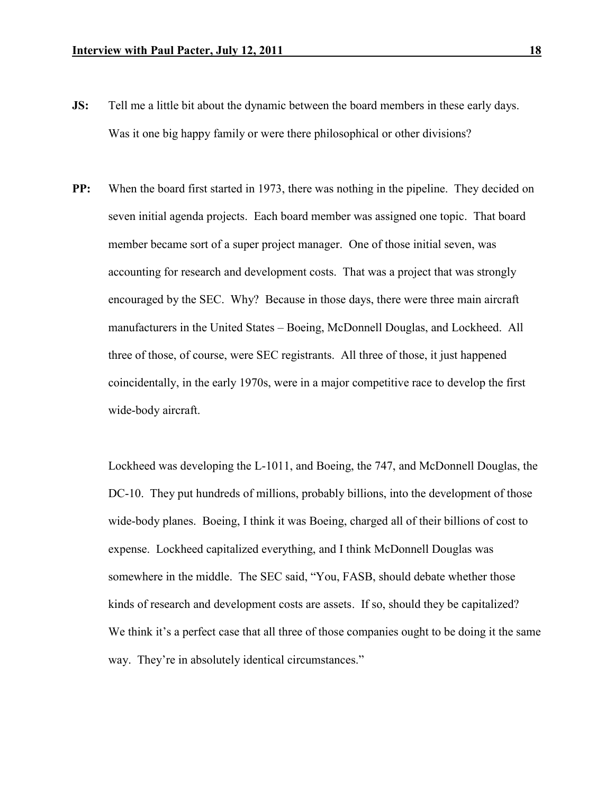- **JS:** Tell me a little bit about the dynamic between the board members in these early days. Was it one big happy family or were there philosophical or other divisions?
- **PP:** When the board first started in 1973, there was nothing in the pipeline. They decided on seven initial agenda projects. Each board member was assigned one topic. That board member became sort of a super project manager. One of those initial seven, was accounting for research and development costs. That was a project that was strongly encouraged by the SEC. Why? Because in those days, there were three main aircraft manufacturers in the United States – Boeing, McDonnell Douglas, and Lockheed. All three of those, of course, were SEC registrants. All three of those, it just happened coincidentally, in the early 1970s, were in a major competitive race to develop the first wide-body aircraft.

Lockheed was developing the L-1011, and Boeing, the 747, and McDonnell Douglas, the DC-10. They put hundreds of millions, probably billions, into the development of those wide-body planes. Boeing, I think it was Boeing, charged all of their billions of cost to expense. Lockheed capitalized everything, and I think McDonnell Douglas was somewhere in the middle. The SEC said, "You, FASB, should debate whether those kinds of research and development costs are assets. If so, should they be capitalized? We think it's a perfect case that all three of those companies ought to be doing it the same way. They're in absolutely identical circumstances."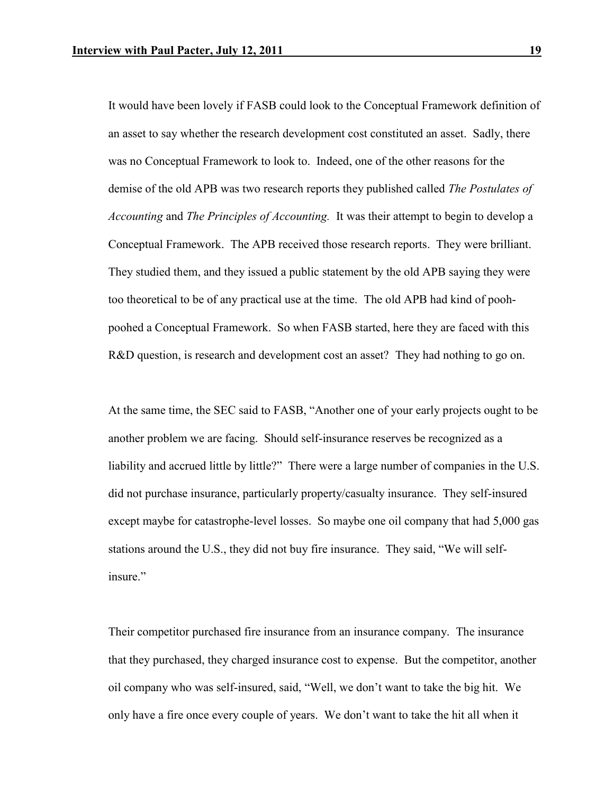It would have been lovely if FASB could look to the Conceptual Framework definition of an asset to say whether the research development cost constituted an asset. Sadly, there was no Conceptual Framework to look to. Indeed, one of the other reasons for the demise of the old APB was two research reports they published called *The Postulates of Accounting* and *The Principles of Accounting.* It was their attempt to begin to develop a Conceptual Framework. The APB received those research reports. They were brilliant. They studied them, and they issued a public statement by the old APB saying they were too theoretical to be of any practical use at the time. The old APB had kind of poohpoohed a Conceptual Framework. So when FASB started, here they are faced with this R&D question, is research and development cost an asset? They had nothing to go on.

At the same time, the SEC said to FASB, "Another one of your early projects ought to be another problem we are facing. Should self-insurance reserves be recognized as a liability and accrued little by little?" There were a large number of companies in the U.S. did not purchase insurance, particularly property/casualty insurance. They self-insured except maybe for catastrophe-level losses. So maybe one oil company that had 5,000 gas stations around the U.S., they did not buy fire insurance. They said, "We will selfinsure"

Their competitor purchased fire insurance from an insurance company. The insurance that they purchased, they charged insurance cost to expense. But the competitor, another oil company who was self-insured, said, "Well, we don't want to take the big hit. We only have a fire once every couple of years. We don't want to take the hit all when it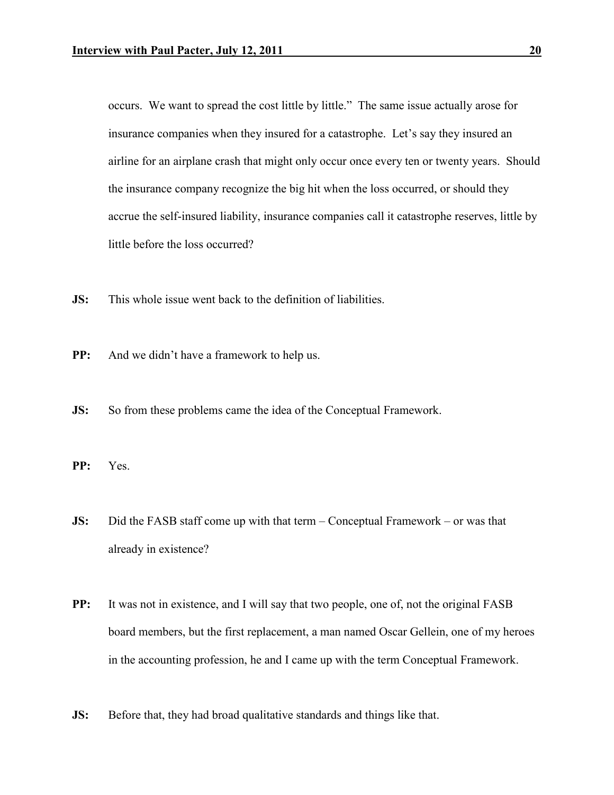occurs. We want to spread the cost little by little." The same issue actually arose for insurance companies when they insured for a catastrophe. Let's say they insured an airline for an airplane crash that might only occur once every ten or twenty years. Should the insurance company recognize the big hit when the loss occurred, or should they accrue the self-insured liability, insurance companies call it catastrophe reserves, little by little before the loss occurred?

- **JS:** This whole issue went back to the definition of liabilities.
- **PP:** And we didn't have a framework to help us.
- **JS:** So from these problems came the idea of the Conceptual Framework.
- **PP:** Yes.
- **JS:** Did the FASB staff come up with that term Conceptual Framework or was that already in existence?
- **PP:** It was not in existence, and I will say that two people, one of, not the original FASB board members, but the first replacement, a man named Oscar Gellein, one of my heroes in the accounting profession, he and I came up with the term Conceptual Framework.
- **JS:** Before that, they had broad qualitative standards and things like that.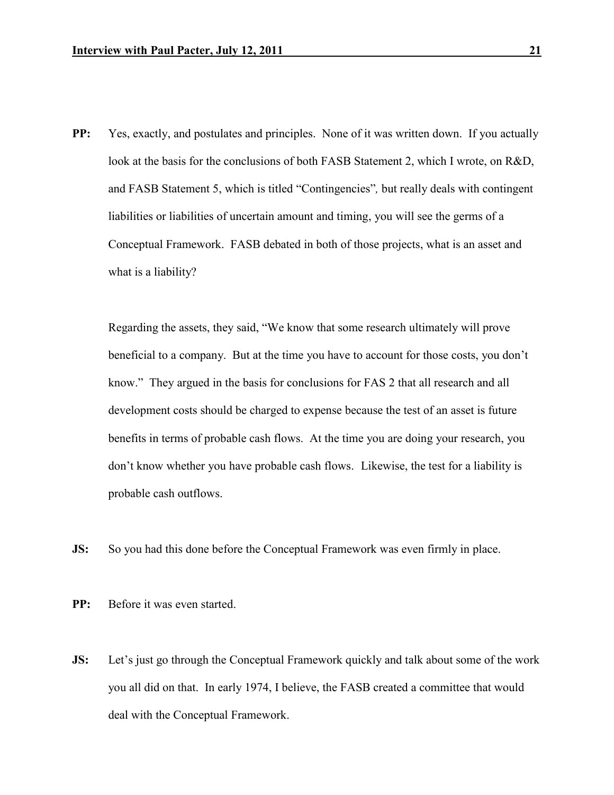**PP:** Yes, exactly, and postulates and principles. None of it was written down. If you actually look at the basis for the conclusions of both FASB Statement 2, which I wrote, on R&D, and FASB Statement 5, which is titled "Contingencies"*,* but really deals with contingent liabilities or liabilities of uncertain amount and timing, you will see the germs of a Conceptual Framework. FASB debated in both of those projects, what is an asset and what is a liability?

Regarding the assets, they said, "We know that some research ultimately will prove beneficial to a company. But at the time you have to account for those costs, you don't know." They argued in the basis for conclusions for FAS 2 that all research and all development costs should be charged to expense because the test of an asset is future benefits in terms of probable cash flows. At the time you are doing your research, you don't know whether you have probable cash flows. Likewise, the test for a liability is probable cash outflows.

**JS:** So you had this done before the Conceptual Framework was even firmly in place.

**PP:** Before it was even started.

**JS:** Let's just go through the Conceptual Framework quickly and talk about some of the work you all did on that. In early 1974, I believe, the FASB created a committee that would deal with the Conceptual Framework.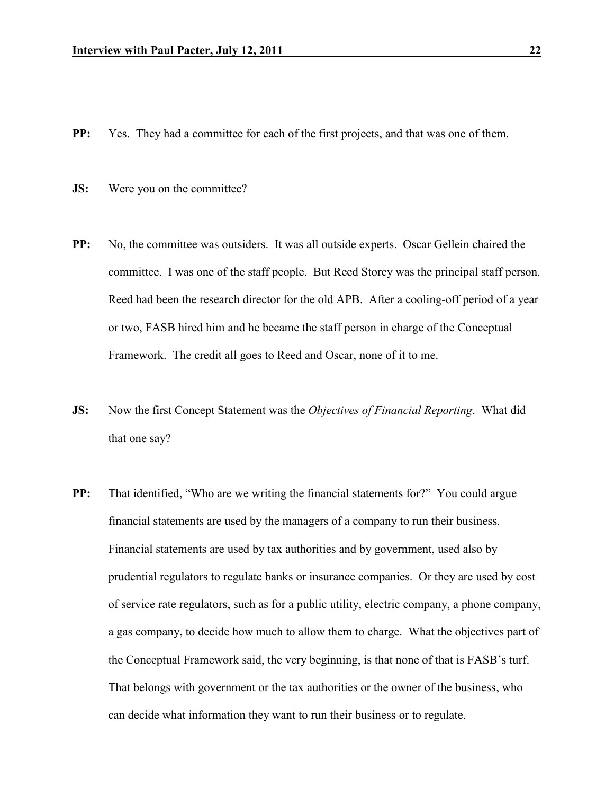- **PP:** Yes. They had a committee for each of the first projects, and that was one of them.
- **JS:** Were you on the committee?
- **PP:** No, the committee was outsiders. It was all outside experts. Oscar Gellein chaired the committee. I was one of the staff people. But Reed Storey was the principal staff person. Reed had been the research director for the old APB. After a cooling-off period of a year or two, FASB hired him and he became the staff person in charge of the Conceptual Framework. The credit all goes to Reed and Oscar, none of it to me.
- **JS:** Now the first Concept Statement was the *Objectives of Financial Reporting*. What did that one say?
- **PP:** That identified, "Who are we writing the financial statements for?" You could argue financial statements are used by the managers of a company to run their business. Financial statements are used by tax authorities and by government, used also by prudential regulators to regulate banks or insurance companies. Or they are used by cost of service rate regulators, such as for a public utility, electric company, a phone company, a gas company, to decide how much to allow them to charge. What the objectives part of the Conceptual Framework said, the very beginning, is that none of that is FASB's turf. That belongs with government or the tax authorities or the owner of the business, who can decide what information they want to run their business or to regulate.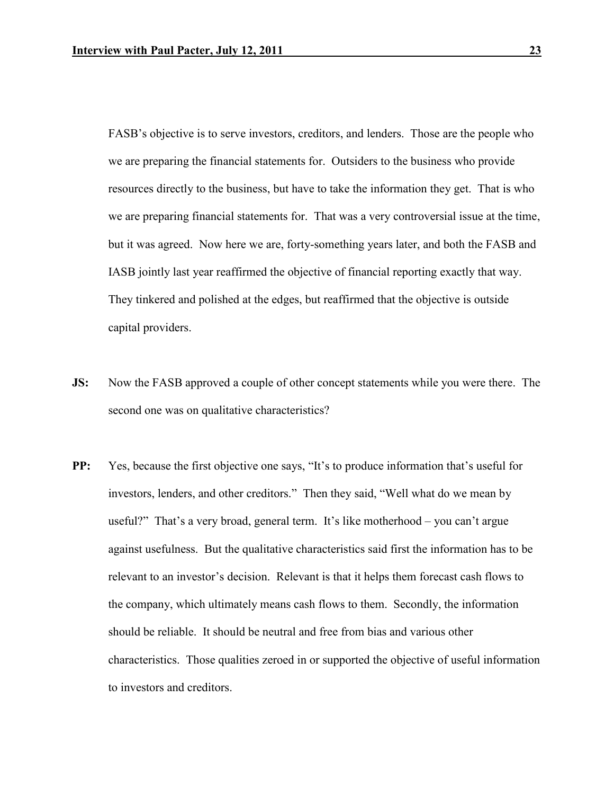FASB's objective is to serve investors, creditors, and lenders. Those are the people who we are preparing the financial statements for. Outsiders to the business who provide resources directly to the business, but have to take the information they get. That is who we are preparing financial statements for. That was a very controversial issue at the time, but it was agreed. Now here we are, forty-something years later, and both the FASB and IASB jointly last year reaffirmed the objective of financial reporting exactly that way. They tinkered and polished at the edges, but reaffirmed that the objective is outside capital providers.

- **JS:** Now the FASB approved a couple of other concept statements while you were there. The second one was on qualitative characteristics?
- **PP:** Yes, because the first objective one says, "It's to produce information that's useful for investors, lenders, and other creditors." Then they said, "Well what do we mean by useful?" That's a very broad, general term. It's like motherhood – you can't argue against usefulness. But the qualitative characteristics said first the information has to be relevant to an investor's decision. Relevant is that it helps them forecast cash flows to the company, which ultimately means cash flows to them. Secondly, the information should be reliable. It should be neutral and free from bias and various other characteristics. Those qualities zeroed in or supported the objective of useful information to investors and creditors.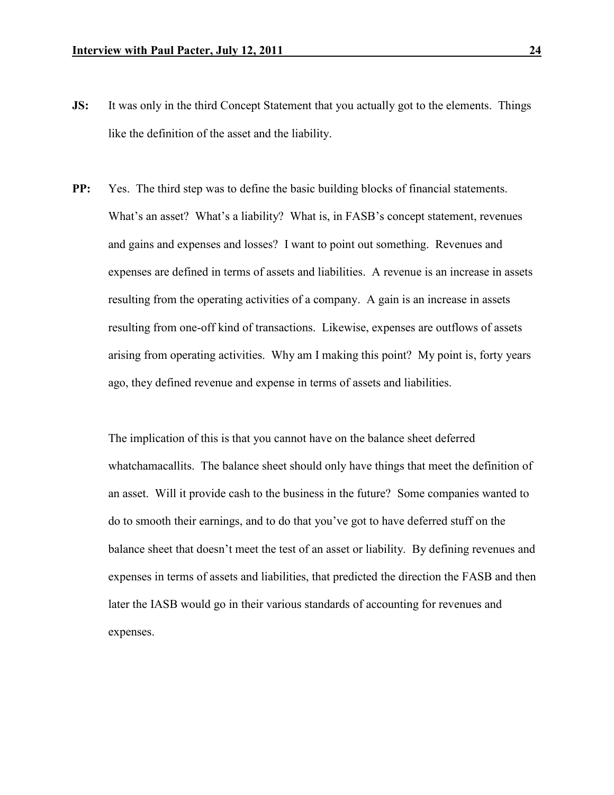- **JS:** It was only in the third Concept Statement that you actually got to the elements. Things like the definition of the asset and the liability.
- **PP:** Yes. The third step was to define the basic building blocks of financial statements. What's an asset? What's a liability? What is, in FASB's concept statement, revenues and gains and expenses and losses? I want to point out something. Revenues and expenses are defined in terms of assets and liabilities. A revenue is an increase in assets resulting from the operating activities of a company. A gain is an increase in assets resulting from one-off kind of transactions. Likewise, expenses are outflows of assets arising from operating activities. Why am I making this point? My point is, forty years ago, they defined revenue and expense in terms of assets and liabilities.

The implication of this is that you cannot have on the balance sheet deferred whatchamacallits. The balance sheet should only have things that meet the definition of an asset. Will it provide cash to the business in the future? Some companies wanted to do to smooth their earnings, and to do that you've got to have deferred stuff on the balance sheet that doesn't meet the test of an asset or liability. By defining revenues and expenses in terms of assets and liabilities, that predicted the direction the FASB and then later the IASB would go in their various standards of accounting for revenues and expenses.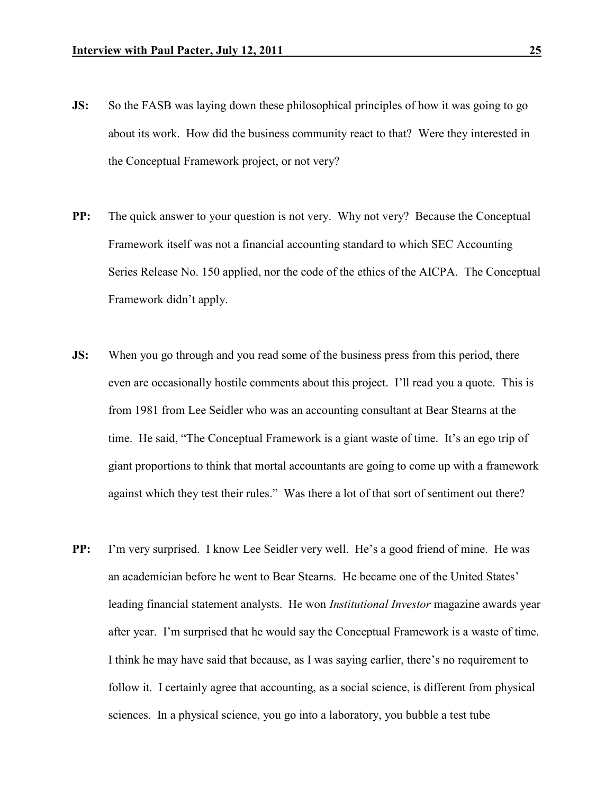- **JS:** So the FASB was laying down these philosophical principles of how it was going to go about its work. How did the business community react to that? Were they interested in the Conceptual Framework project, or not very?
- **PP:** The quick answer to your question is not very. Why not very? Because the Conceptual Framework itself was not a financial accounting standard to which SEC Accounting Series Release No. 150 applied, nor the code of the ethics of the AICPA. The Conceptual Framework didn't apply.
- **JS:** When you go through and you read some of the business press from this period, there even are occasionally hostile comments about this project. I'll read you a quote. This is from 1981 from Lee Seidler who was an accounting consultant at Bear Stearns at the time. He said, "The Conceptual Framework is a giant waste of time. It's an ego trip of giant proportions to think that mortal accountants are going to come up with a framework against which they test their rules." Was there a lot of that sort of sentiment out there?
- **PP:** I'm very surprised. I know Lee Seidler very well. He's a good friend of mine. He was an academician before he went to Bear Stearns. He became one of the United States' leading financial statement analysts. He won *Institutional Investor* magazine awards year after year. I'm surprised that he would say the Conceptual Framework is a waste of time. I think he may have said that because, as I was saying earlier, there's no requirement to follow it. I certainly agree that accounting, as a social science, is different from physical sciences. In a physical science, you go into a laboratory, you bubble a test tube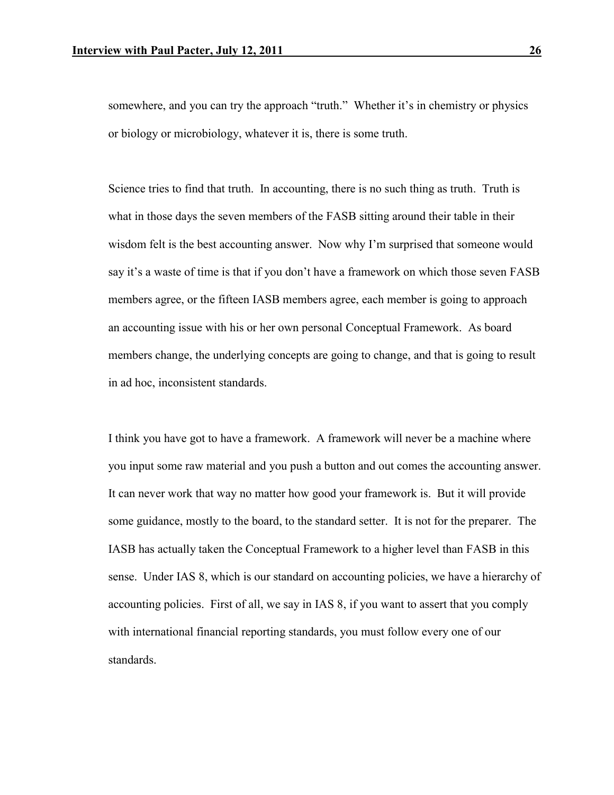somewhere, and you can try the approach "truth." Whether it's in chemistry or physics or biology or microbiology, whatever it is, there is some truth.

Science tries to find that truth. In accounting, there is no such thing as truth. Truth is what in those days the seven members of the FASB sitting around their table in their wisdom felt is the best accounting answer. Now why I'm surprised that someone would say it's a waste of time is that if you don't have a framework on which those seven FASB members agree, or the fifteen IASB members agree, each member is going to approach an accounting issue with his or her own personal Conceptual Framework. As board members change, the underlying concepts are going to change, and that is going to result in ad hoc, inconsistent standards.

I think you have got to have a framework. A framework will never be a machine where you input some raw material and you push a button and out comes the accounting answer. It can never work that way no matter how good your framework is. But it will provide some guidance, mostly to the board, to the standard setter. It is not for the preparer. The IASB has actually taken the Conceptual Framework to a higher level than FASB in this sense. Under IAS 8, which is our standard on accounting policies, we have a hierarchy of accounting policies. First of all, we say in IAS 8, if you want to assert that you comply with international financial reporting standards, you must follow every one of our standards.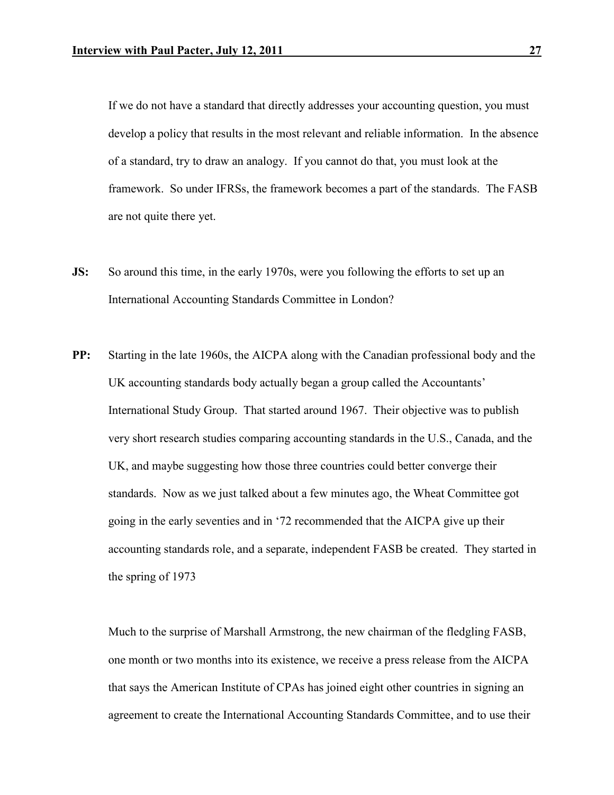If we do not have a standard that directly addresses your accounting question, you must develop a policy that results in the most relevant and reliable information. In the absence of a standard, try to draw an analogy. If you cannot do that, you must look at the framework. So under IFRSs, the framework becomes a part of the standards. The FASB are not quite there yet.

- **JS:** So around this time, in the early 1970s, were you following the efforts to set up an International Accounting Standards Committee in London?
- **PP:** Starting in the late 1960s, the AICPA along with the Canadian professional body and the UK accounting standards body actually began a group called the Accountants' International Study Group. That started around 1967. Their objective was to publish very short research studies comparing accounting standards in the U.S., Canada, and the UK, and maybe suggesting how those three countries could better converge their standards. Now as we just talked about a few minutes ago, the Wheat Committee got going in the early seventies and in '72 recommended that the AICPA give up their accounting standards role, and a separate, independent FASB be created. They started in the spring of 1973

Much to the surprise of Marshall Armstrong, the new chairman of the fledgling FASB, one month or two months into its existence, we receive a press release from the AICPA that says the American Institute of CPAs has joined eight other countries in signing an agreement to create the International Accounting Standards Committee, and to use their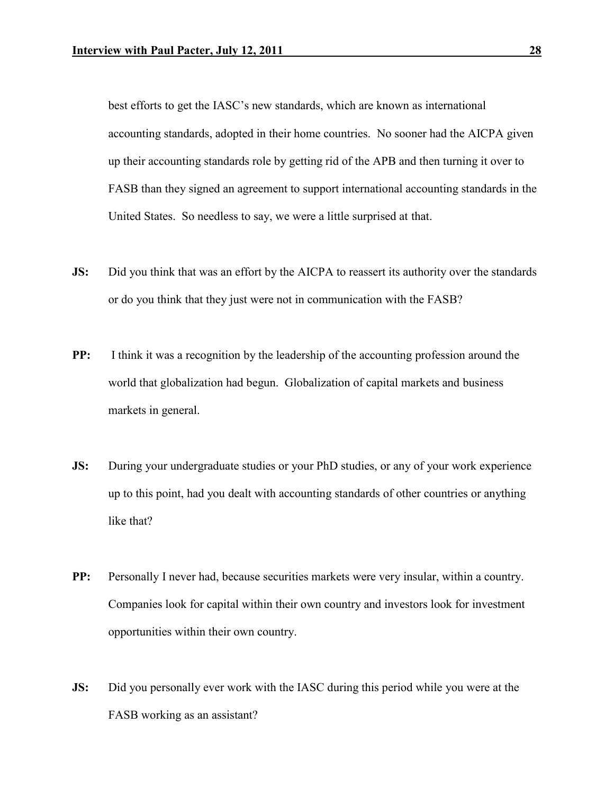best efforts to get the IASC's new standards, which are known as international accounting standards, adopted in their home countries. No sooner had the AICPA given up their accounting standards role by getting rid of the APB and then turning it over to FASB than they signed an agreement to support international accounting standards in the United States. So needless to say, we were a little surprised at that.

- **JS:** Did you think that was an effort by the AICPA to reassert its authority over the standards or do you think that they just were not in communication with the FASB?
- **PP:** I think it was a recognition by the leadership of the accounting profession around the world that globalization had begun. Globalization of capital markets and business markets in general.
- **JS:** During your undergraduate studies or your PhD studies, or any of your work experience up to this point, had you dealt with accounting standards of other countries or anything like that?
- **PP:** Personally I never had, because securities markets were very insular, within a country. Companies look for capital within their own country and investors look for investment opportunities within their own country.
- **JS:** Did you personally ever work with the IASC during this period while you were at the FASB working as an assistant?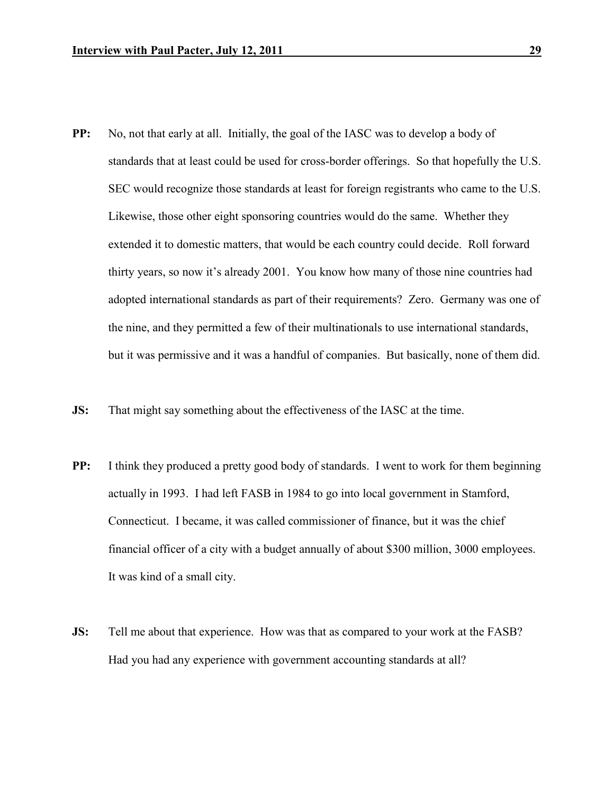- **PP:** No, not that early at all. Initially, the goal of the IASC was to develop a body of standards that at least could be used for cross-border offerings. So that hopefully the U.S. SEC would recognize those standards at least for foreign registrants who came to the U.S. Likewise, those other eight sponsoring countries would do the same. Whether they extended it to domestic matters, that would be each country could decide. Roll forward thirty years, so now it's already 2001. You know how many of those nine countries had adopted international standards as part of their requirements? Zero. Germany was one of the nine, and they permitted a few of their multinationals to use international standards, but it was permissive and it was a handful of companies. But basically, none of them did.
- **JS:** That might say something about the effectiveness of the IASC at the time.
- **PP:** I think they produced a pretty good body of standards. I went to work for them beginning actually in 1993. I had left FASB in 1984 to go into local government in Stamford, Connecticut. I became, it was called commissioner of finance, but it was the chief financial officer of a city with a budget annually of about \$300 million, 3000 employees. It was kind of a small city.
- **JS:** Tell me about that experience. How was that as compared to your work at the FASB? Had you had any experience with government accounting standards at all?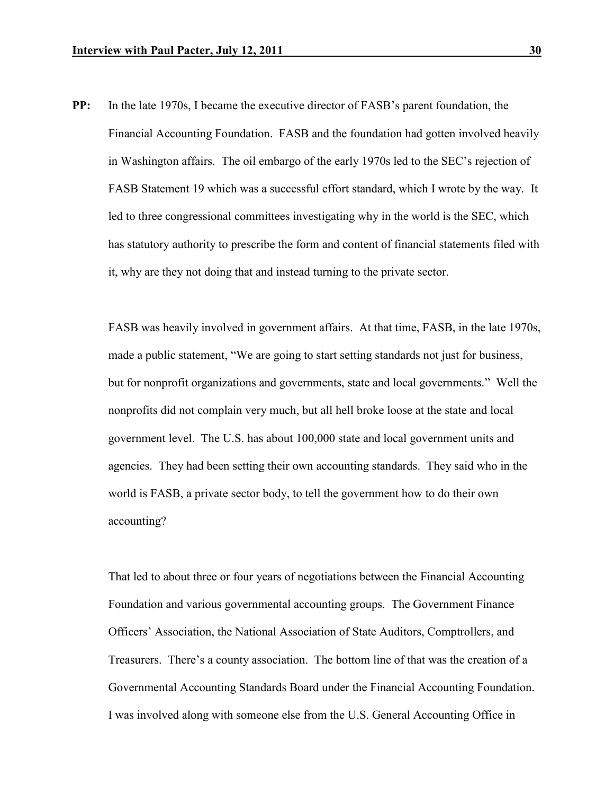**PP:** In the late 1970s, I became the executive director of FASB's parent foundation, the Financial Accounting Foundation. FASB and the foundation had gotten involved heavily in Washington affairs. The oil embargo of the early 1970s led to the SEC's rejection of FASB Statement 19 which was a successful effort standard, which I wrote by the way. It led to three congressional committees investigating why in the world is the SEC, which has statutory authority to prescribe the form and content of financial statements filed with it, why are they not doing that and instead turning to the private sector.

FASB was heavily involved in government affairs. At that time, FASB, in the late 1970s, made a public statement, "We are going to start setting standards not just for business, but for nonprofit organizations and governments, state and local governments." Well the nonprofits did not complain very much, but all hell broke loose at the state and local government level. The U.S. has about 100,000 state and local government units and agencies. They had been setting their own accounting standards. They said who in the world is FASB, a private sector body, to tell the government how to do their own accounting?

That led to about three or four years of negotiations between the Financial Accounting Foundation and various governmental accounting groups. The Government Finance Officers' Association, the National Association of State Auditors, Comptrollers, and Treasurers. There's a county association. The bottom line of that was the creation of a Governmental Accounting Standards Board under the Financial Accounting Foundation. I was involved along with someone else from the U.S. General Accounting Office in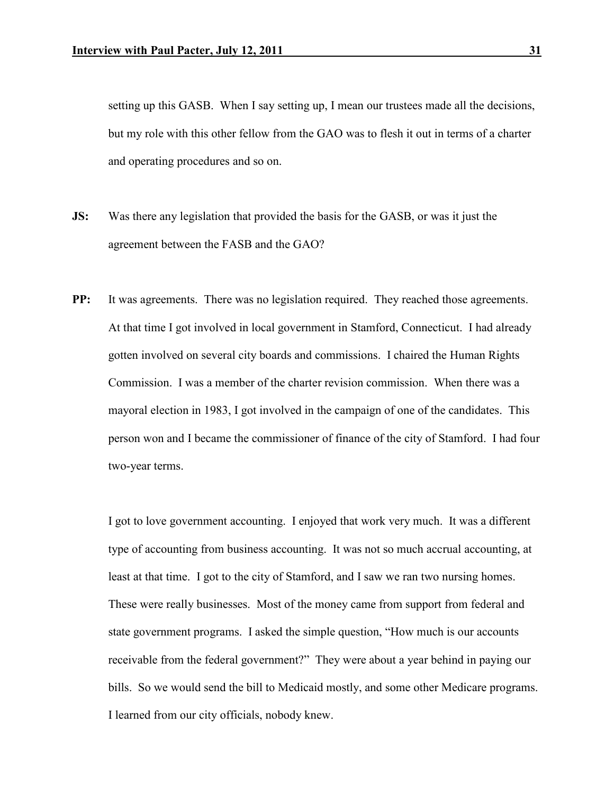setting up this GASB. When I say setting up, I mean our trustees made all the decisions, but my role with this other fellow from the GAO was to flesh it out in terms of a charter and operating procedures and so on.

- **JS:** Was there any legislation that provided the basis for the GASB, or was it just the agreement between the FASB and the GAO?
- **PP:** It was agreements. There was no legislation required. They reached those agreements. At that time I got involved in local government in Stamford, Connecticut. I had already gotten involved on several city boards and commissions. I chaired the Human Rights Commission. I was a member of the charter revision commission. When there was a mayoral election in 1983, I got involved in the campaign of one of the candidates. This person won and I became the commissioner of finance of the city of Stamford. I had four two-year terms.

I got to love government accounting. I enjoyed that work very much. It was a different type of accounting from business accounting. It was not so much accrual accounting, at least at that time. I got to the city of Stamford, and I saw we ran two nursing homes. These were really businesses. Most of the money came from support from federal and state government programs. I asked the simple question, "How much is our accounts receivable from the federal government?" They were about a year behind in paying our bills. So we would send the bill to Medicaid mostly, and some other Medicare programs. I learned from our city officials, nobody knew.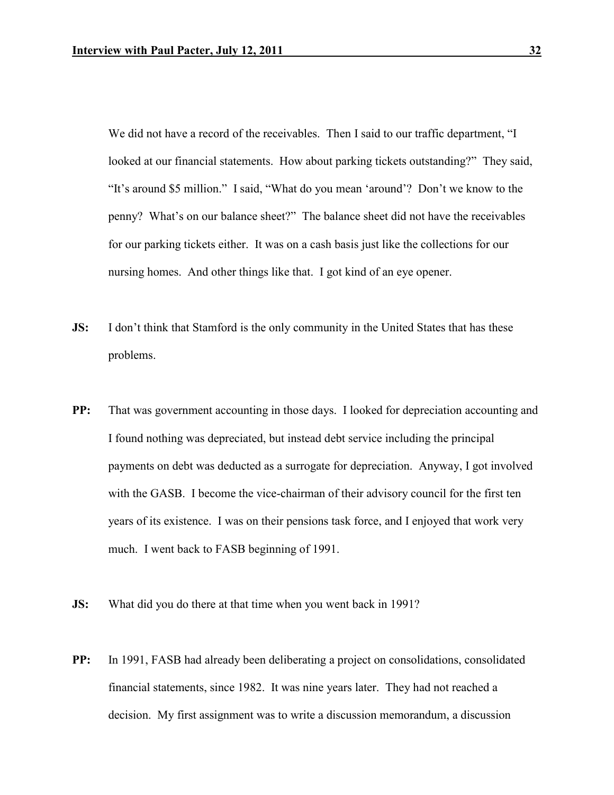We did not have a record of the receivables. Then I said to our traffic department, "I looked at our financial statements. How about parking tickets outstanding?" They said, "It's around \$5 million." I said, "What do you mean 'around'? Don't we know to the penny? What's on our balance sheet?" The balance sheet did not have the receivables for our parking tickets either. It was on a cash basis just like the collections for our nursing homes. And other things like that. I got kind of an eye opener.

- **JS:** I don't think that Stamford is the only community in the United States that has these problems.
- **PP:** That was government accounting in those days. I looked for depreciation accounting and I found nothing was depreciated, but instead debt service including the principal payments on debt was deducted as a surrogate for depreciation. Anyway, I got involved with the GASB. I become the vice-chairman of their advisory council for the first ten years of its existence. I was on their pensions task force, and I enjoyed that work very much. I went back to FASB beginning of 1991.
- **JS:** What did you do there at that time when you went back in 1991?
- **PP:** In 1991, FASB had already been deliberating a project on consolidations, consolidated financial statements, since 1982. It was nine years later. They had not reached a decision. My first assignment was to write a discussion memorandum, a discussion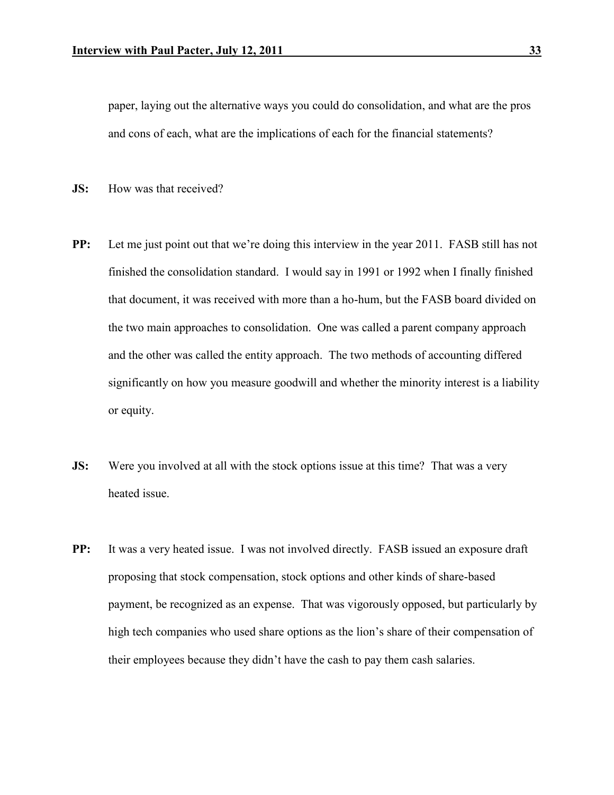paper, laying out the alternative ways you could do consolidation, and what are the pros and cons of each, what are the implications of each for the financial statements?

- **JS:** How was that received?
- **PP:** Let me just point out that we're doing this interview in the year 2011. FASB still has not finished the consolidation standard. I would say in 1991 or 1992 when I finally finished that document, it was received with more than a ho-hum, but the FASB board divided on the two main approaches to consolidation. One was called a parent company approach and the other was called the entity approach. The two methods of accounting differed significantly on how you measure goodwill and whether the minority interest is a liability or equity.
- **JS:** Were you involved at all with the stock options issue at this time? That was a very heated issue.
- **PP:** It was a very heated issue. I was not involved directly. FASB issued an exposure draft proposing that stock compensation, stock options and other kinds of share-based payment, be recognized as an expense. That was vigorously opposed, but particularly by high tech companies who used share options as the lion's share of their compensation of their employees because they didn't have the cash to pay them cash salaries.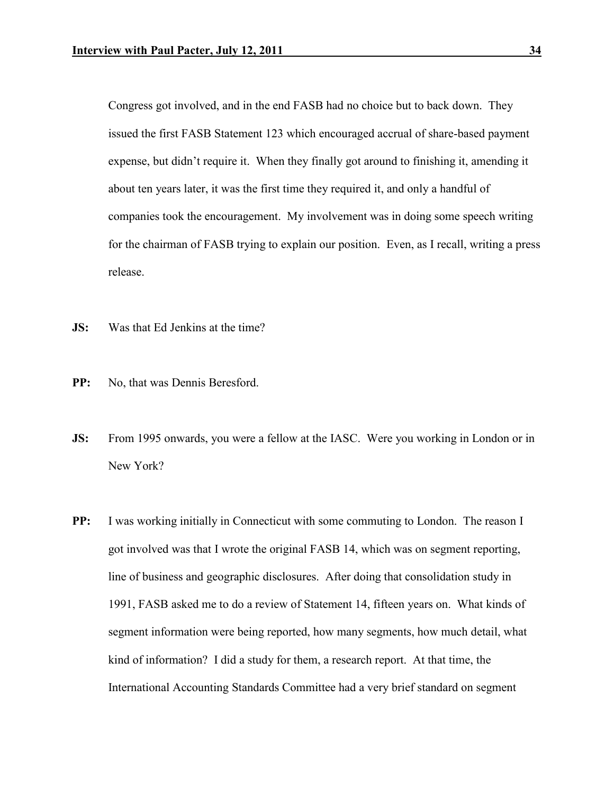Congress got involved, and in the end FASB had no choice but to back down. They issued the first FASB Statement 123 which encouraged accrual of share-based payment expense, but didn't require it. When they finally got around to finishing it, amending it about ten years later, it was the first time they required it, and only a handful of companies took the encouragement. My involvement was in doing some speech writing for the chairman of FASB trying to explain our position. Even, as I recall, writing a press release.

- **JS:** Was that Ed Jenkins at the time?
- **PP:** No, that was Dennis Beresford.
- **JS:** From 1995 onwards, you were a fellow at the IASC. Were you working in London or in New York?
- **PP:** I was working initially in Connecticut with some commuting to London. The reason I got involved was that I wrote the original FASB 14, which was on segment reporting, line of business and geographic disclosures. After doing that consolidation study in 1991, FASB asked me to do a review of Statement 14, fifteen years on. What kinds of segment information were being reported, how many segments, how much detail, what kind of information? I did a study for them, a research report. At that time, the International Accounting Standards Committee had a very brief standard on segment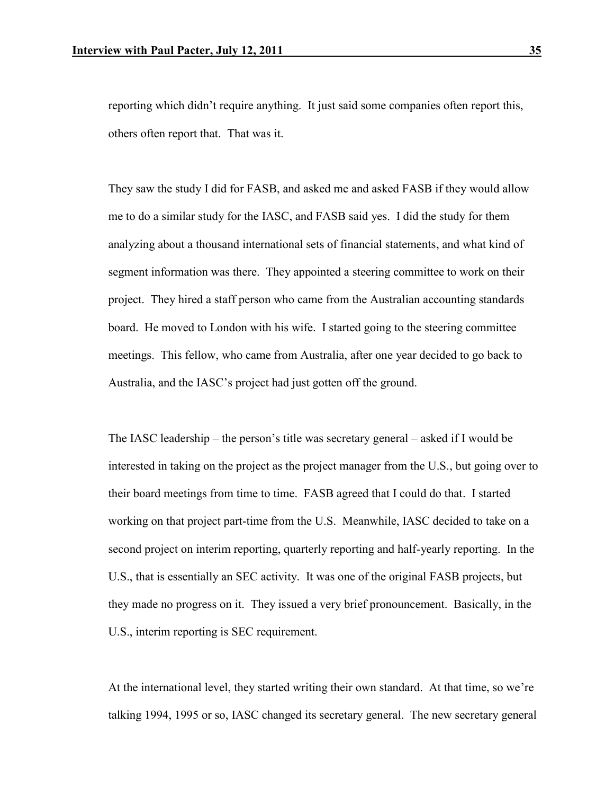reporting which didn't require anything. It just said some companies often report this, others often report that. That was it.

They saw the study I did for FASB, and asked me and asked FASB if they would allow me to do a similar study for the IASC, and FASB said yes. I did the study for them analyzing about a thousand international sets of financial statements, and what kind of segment information was there. They appointed a steering committee to work on their project. They hired a staff person who came from the Australian accounting standards board. He moved to London with his wife. I started going to the steering committee meetings. This fellow, who came from Australia, after one year decided to go back to Australia, and the IASC's project had just gotten off the ground.

The IASC leadership – the person's title was secretary general – asked if I would be interested in taking on the project as the project manager from the U.S., but going over to their board meetings from time to time. FASB agreed that I could do that. I started working on that project part-time from the U.S. Meanwhile, IASC decided to take on a second project on interim reporting, quarterly reporting and half-yearly reporting. In the U.S., that is essentially an SEC activity. It was one of the original FASB projects, but they made no progress on it. They issued a very brief pronouncement. Basically, in the U.S., interim reporting is SEC requirement.

At the international level, they started writing their own standard. At that time, so we're talking 1994, 1995 or so, IASC changed its secretary general. The new secretary general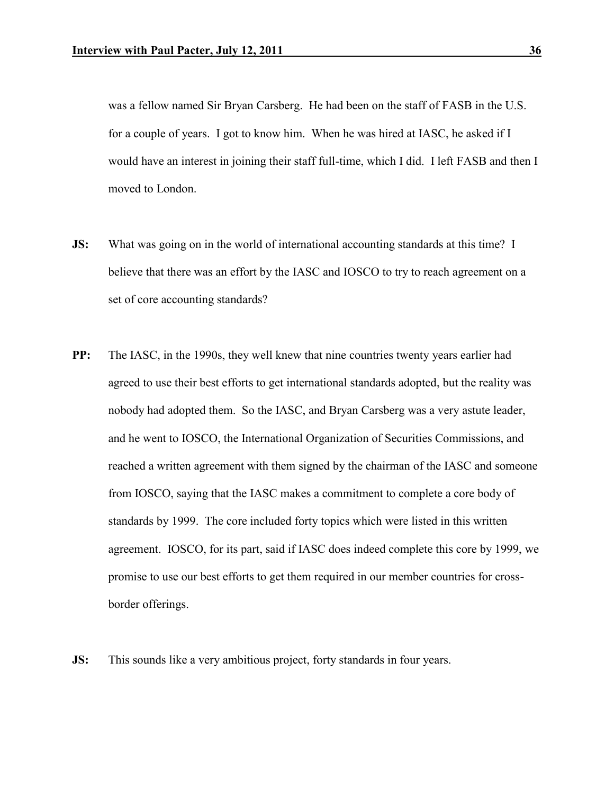was a fellow named Sir Bryan Carsberg. He had been on the staff of FASB in the U.S. for a couple of years. I got to know him. When he was hired at IASC, he asked if I would have an interest in joining their staff full-time, which I did. I left FASB and then I moved to London.

- **JS:** What was going on in the world of international accounting standards at this time? I believe that there was an effort by the IASC and IOSCO to try to reach agreement on a set of core accounting standards?
- **PP:** The IASC, in the 1990s, they well knew that nine countries twenty years earlier had agreed to use their best efforts to get international standards adopted, but the reality was nobody had adopted them. So the IASC, and Bryan Carsberg was a very astute leader, and he went to IOSCO, the International Organization of Securities Commissions, and reached a written agreement with them signed by the chairman of the IASC and someone from IOSCO, saying that the IASC makes a commitment to complete a core body of standards by 1999. The core included forty topics which were listed in this written agreement. IOSCO, for its part, said if IASC does indeed complete this core by 1999, we promise to use our best efforts to get them required in our member countries for crossborder offerings.
- **JS:** This sounds like a very ambitious project, forty standards in four years.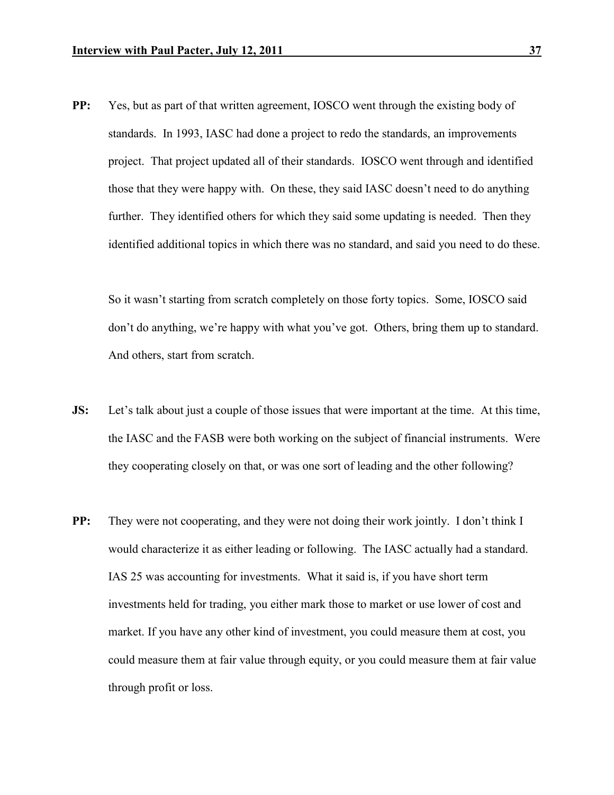**PP:** Yes, but as part of that written agreement, IOSCO went through the existing body of standards. In 1993, IASC had done a project to redo the standards, an improvements project. That project updated all of their standards. IOSCO went through and identified those that they were happy with. On these, they said IASC doesn't need to do anything further. They identified others for which they said some updating is needed. Then they identified additional topics in which there was no standard, and said you need to do these.

So it wasn't starting from scratch completely on those forty topics. Some, IOSCO said don't do anything, we're happy with what you've got. Others, bring them up to standard. And others, start from scratch.

- **JS:** Let's talk about just a couple of those issues that were important at the time. At this time, the IASC and the FASB were both working on the subject of financial instruments. Were they cooperating closely on that, or was one sort of leading and the other following?
- **PP:** They were not cooperating, and they were not doing their work jointly. I don't think I would characterize it as either leading or following. The IASC actually had a standard. IAS 25 was accounting for investments. What it said is, if you have short term investments held for trading, you either mark those to market or use lower of cost and market. If you have any other kind of investment, you could measure them at cost, you could measure them at fair value through equity, or you could measure them at fair value through profit or loss.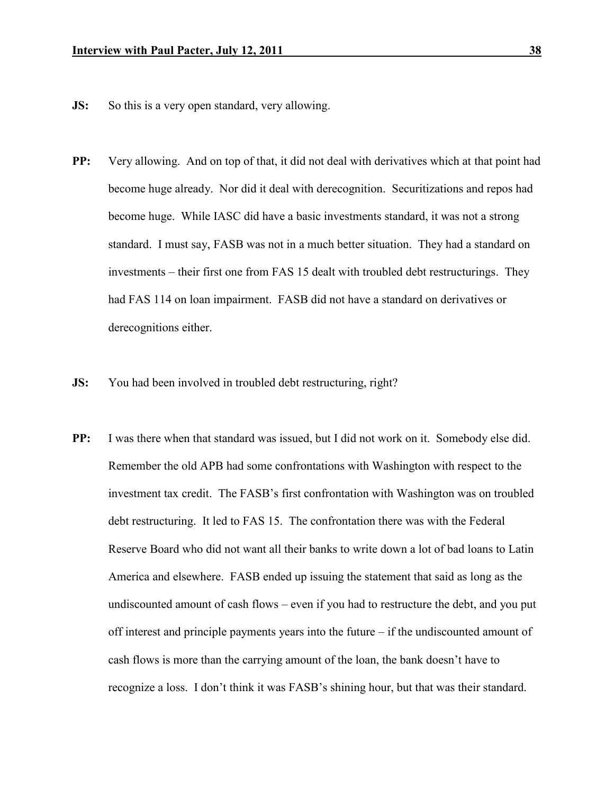- **JS:** So this is a very open standard, very allowing.
- **PP:** Very allowing. And on top of that, it did not deal with derivatives which at that point had become huge already. Nor did it deal with derecognition. Securitizations and repos had become huge. While IASC did have a basic investments standard, it was not a strong standard. I must say, FASB was not in a much better situation. They had a standard on investments – their first one from FAS 15 dealt with troubled debt restructurings. They had FAS 114 on loan impairment. FASB did not have a standard on derivatives or derecognitions either.
- **JS:** You had been involved in troubled debt restructuring, right?
- **PP:** I was there when that standard was issued, but I did not work on it. Somebody else did. Remember the old APB had some confrontations with Washington with respect to the investment tax credit. The FASB's first confrontation with Washington was on troubled debt restructuring. It led to FAS 15. The confrontation there was with the Federal Reserve Board who did not want all their banks to write down a lot of bad loans to Latin America and elsewhere. FASB ended up issuing the statement that said as long as the undiscounted amount of cash flows – even if you had to restructure the debt, and you put off interest and principle payments years into the future – if the undiscounted amount of cash flows is more than the carrying amount of the loan, the bank doesn't have to recognize a loss. I don't think it was FASB's shining hour, but that was their standard.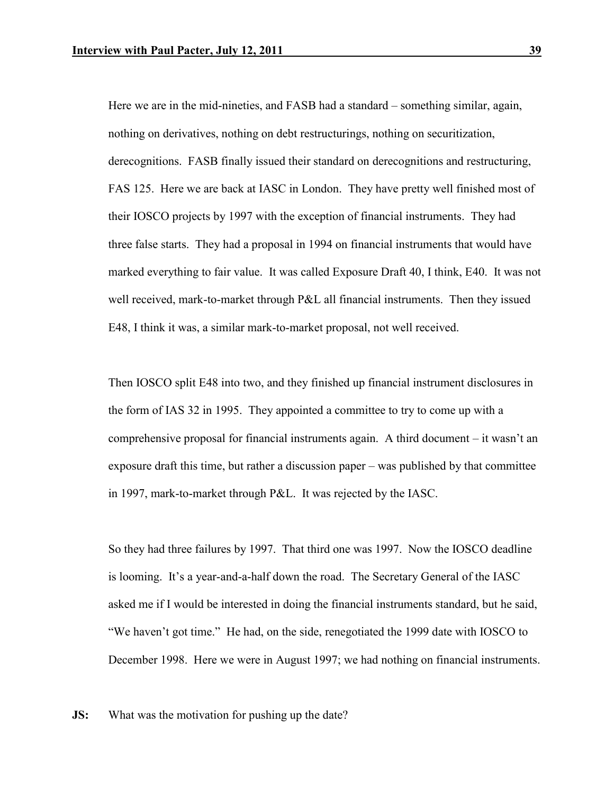Here we are in the mid-nineties, and FASB had a standard – something similar, again, nothing on derivatives, nothing on debt restructurings, nothing on securitization, derecognitions. FASB finally issued their standard on derecognitions and restructuring, FAS 125. Here we are back at IASC in London. They have pretty well finished most of their IOSCO projects by 1997 with the exception of financial instruments. They had three false starts. They had a proposal in 1994 on financial instruments that would have marked everything to fair value. It was called Exposure Draft 40, I think, E40. It was not well received, mark-to-market through P&L all financial instruments. Then they issued E48, I think it was, a similar mark-to-market proposal, not well received.

Then IOSCO split E48 into two, and they finished up financial instrument disclosures in the form of IAS 32 in 1995. They appointed a committee to try to come up with a comprehensive proposal for financial instruments again. A third document – it wasn't an exposure draft this time, but rather a discussion paper – was published by that committee in 1997, mark-to-market through P&L. It was rejected by the IASC.

So they had three failures by 1997. That third one was 1997. Now the IOSCO deadline is looming. It's a year-and-a-half down the road. The Secretary General of the IASC asked me if I would be interested in doing the financial instruments standard, but he said, "We haven't got time." He had, on the side, renegotiated the 1999 date with IOSCO to December 1998. Here we were in August 1997; we had nothing on financial instruments.

**JS:** What was the motivation for pushing up the date?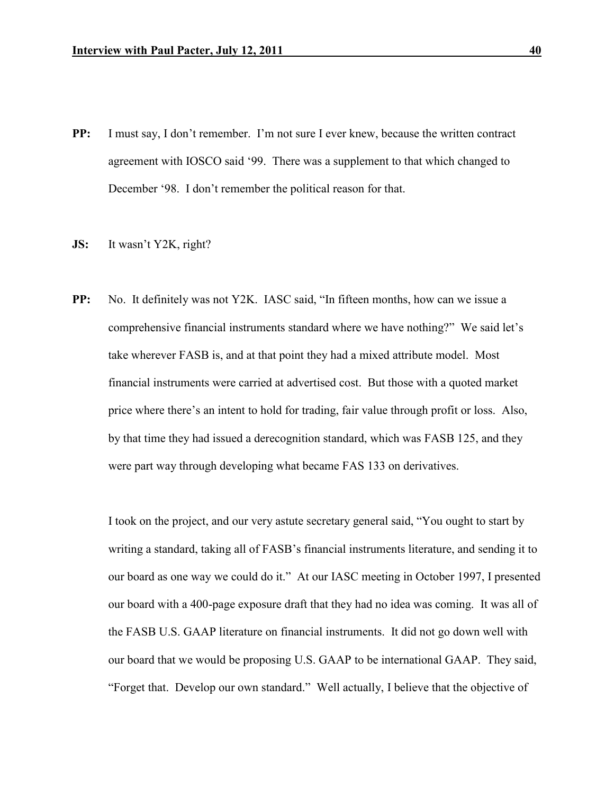**PP:** I must say, I don't remember. I'm not sure I ever knew, because the written contract agreement with IOSCO said '99. There was a supplement to that which changed to December '98. I don't remember the political reason for that.

## **JS:** It wasn't Y2K, right?

**PP:** No. It definitely was not Y2K. IASC said, "In fifteen months, how can we issue a comprehensive financial instruments standard where we have nothing?" We said let's take wherever FASB is, and at that point they had a mixed attribute model. Most financial instruments were carried at advertised cost. But those with a quoted market price where there's an intent to hold for trading, fair value through profit or loss. Also, by that time they had issued a derecognition standard, which was FASB 125, and they were part way through developing what became FAS 133 on derivatives.

I took on the project, and our very astute secretary general said, "You ought to start by writing a standard, taking all of FASB's financial instruments literature, and sending it to our board as one way we could do it." At our IASC meeting in October 1997, I presented our board with a 400-page exposure draft that they had no idea was coming. It was all of the FASB U.S. GAAP literature on financial instruments. It did not go down well with our board that we would be proposing U.S. GAAP to be international GAAP. They said, "Forget that. Develop our own standard." Well actually, I believe that the objective of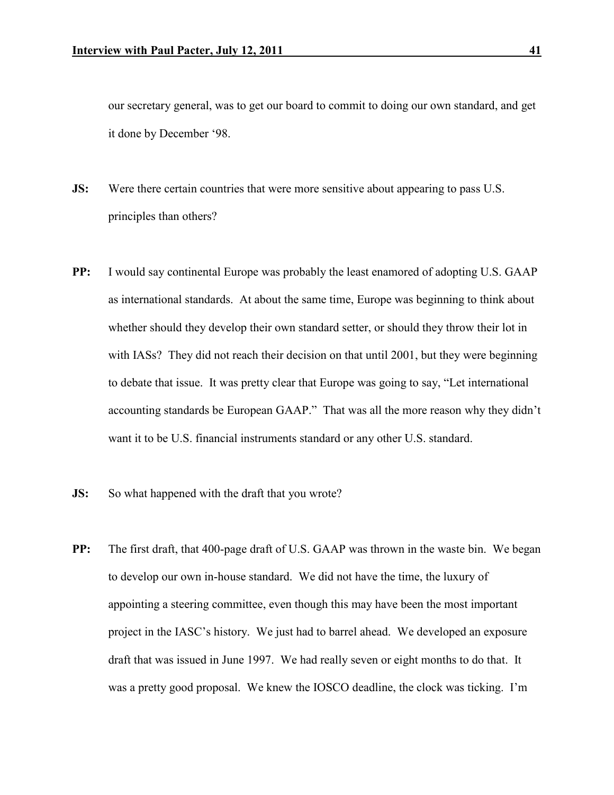our secretary general, was to get our board to commit to doing our own standard, and get it done by December '98.

- **JS:** Were there certain countries that were more sensitive about appearing to pass U.S. principles than others?
- **PP:** I would say continental Europe was probably the least enamored of adopting U.S. GAAP as international standards. At about the same time, Europe was beginning to think about whether should they develop their own standard setter, or should they throw their lot in with IASs? They did not reach their decision on that until 2001, but they were beginning to debate that issue. It was pretty clear that Europe was going to say, "Let international accounting standards be European GAAP." That was all the more reason why they didn't want it to be U.S. financial instruments standard or any other U.S. standard.
- **JS:** So what happened with the draft that you wrote?
- **PP:** The first draft, that 400-page draft of U.S. GAAP was thrown in the waste bin. We began to develop our own in-house standard. We did not have the time, the luxury of appointing a steering committee, even though this may have been the most important project in the IASC's history. We just had to barrel ahead. We developed an exposure draft that was issued in June 1997. We had really seven or eight months to do that. It was a pretty good proposal. We knew the IOSCO deadline, the clock was ticking. I'm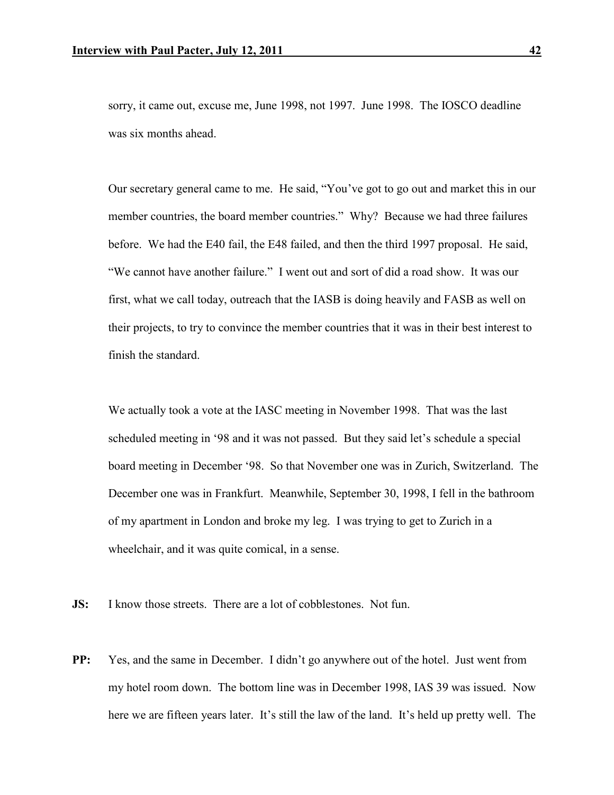sorry, it came out, excuse me, June 1998, not 1997. June 1998. The IOSCO deadline was six months ahead.

Our secretary general came to me. He said, "You've got to go out and market this in our member countries, the board member countries." Why? Because we had three failures before. We had the E40 fail, the E48 failed, and then the third 1997 proposal. He said, "We cannot have another failure." I went out and sort of did a road show. It was our first, what we call today, outreach that the IASB is doing heavily and FASB as well on their projects, to try to convince the member countries that it was in their best interest to finish the standard.

We actually took a vote at the IASC meeting in November 1998. That was the last scheduled meeting in '98 and it was not passed. But they said let's schedule a special board meeting in December '98. So that November one was in Zurich, Switzerland. The December one was in Frankfurt. Meanwhile, September 30, 1998, I fell in the bathroom of my apartment in London and broke my leg. I was trying to get to Zurich in a wheelchair, and it was quite comical, in a sense.

**JS:** I know those streets. There are a lot of cobblestones. Not fun.

**PP:** Yes, and the same in December. I didn't go anywhere out of the hotel. Just went from my hotel room down. The bottom line was in December 1998, IAS 39 was issued. Now here we are fifteen years later. It's still the law of the land. It's held up pretty well. The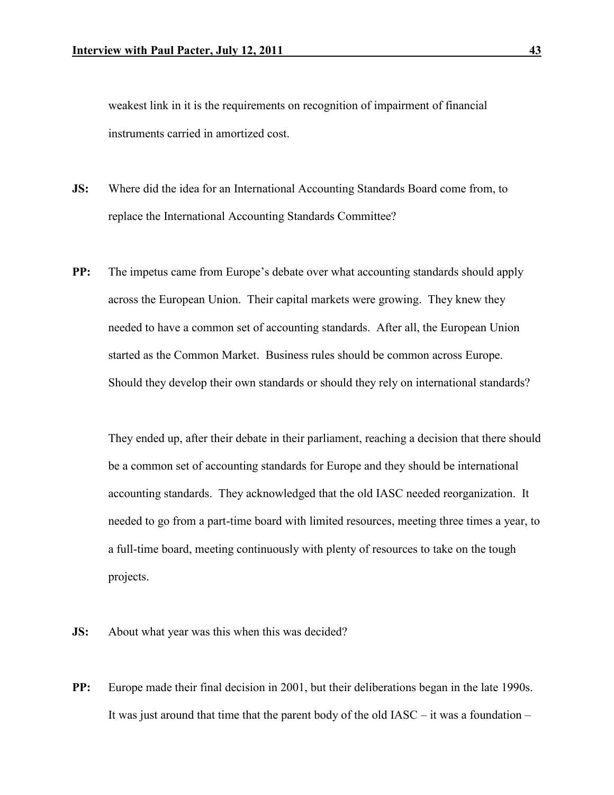weakest link in it is the requirements on recognition of impairment of financial instruments carried in amortized cost.

- **JS:** Where did the idea for an International Accounting Standards Board come from, to replace the International Accounting Standards Committee?
- **PP:** The impetus came from Europe's debate over what accounting standards should apply across the European Union. Their capital markets were growing. They knew they needed to have a common set of accounting standards. After all, the European Union started as the Common Market. Business rules should be common across Europe. Should they develop their own standards or should they rely on international standards?

They ended up, after their debate in their parliament, reaching a decision that there should be a common set of accounting standards for Europe and they should be international accounting standards. They acknowledged that the old IASC needed reorganization. It needed to go from a part-time board with limited resources, meeting three times a year, to a full-time board, meeting continuously with plenty of resources to take on the tough projects.

- **JS:** About what year was this when this was decided?
- **PP:** Europe made their final decision in 2001, but their deliberations began in the late 1990s. It was just around that time that the parent body of the old  $IASC - it$  was a foundation –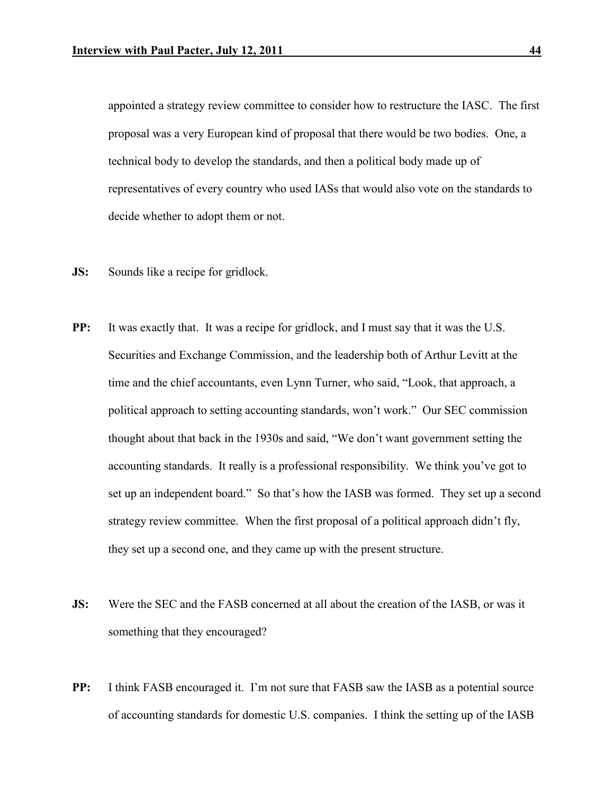appointed a strategy review committee to consider how to restructure the IASC. The first proposal was a very European kind of proposal that there would be two bodies. One, a technical body to develop the standards, and then a political body made up of representatives of every country who used IASs that would also vote on the standards to decide whether to adopt them or not.

- **JS:** Sounds like a recipe for gridlock.
- **PP:** It was exactly that. It was a recipe for gridlock, and I must say that it was the U.S. Securities and Exchange Commission, and the leadership both of Arthur Levitt at the time and the chief accountants, even Lynn Turner, who said, "Look, that approach, a political approach to setting accounting standards, won't work." Our SEC commission thought about that back in the 1930s and said, "We don't want government setting the accounting standards. It really is a professional responsibility. We think you've got to set up an independent board." So that's how the IASB was formed. They set up a second strategy review committee. When the first proposal of a political approach didn't fly, they set up a second one, and they came up with the present structure.
- **JS:** Were the SEC and the FASB concerned at all about the creation of the IASB, or was it something that they encouraged?
- **PP:** I think FASB encouraged it. I'm not sure that FASB saw the IASB as a potential source of accounting standards for domestic U.S. companies. I think the setting up of the IASB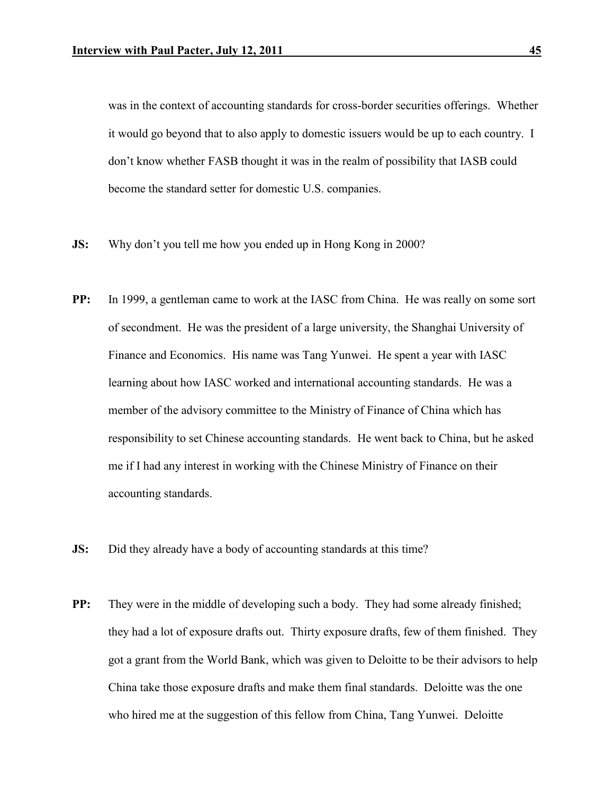was in the context of accounting standards for cross-border securities offerings. Whether it would go beyond that to also apply to domestic issuers would be up to each country. I don't know whether FASB thought it was in the realm of possibility that IASB could become the standard setter for domestic U.S. companies.

- **JS:** Why don't you tell me how you ended up in Hong Kong in 2000?
- **PP:** In 1999, a gentleman came to work at the IASC from China. He was really on some sort of secondment. He was the president of a large university, the Shanghai University of Finance and Economics. His name was Tang Yunwei. He spent a year with IASC learning about how IASC worked and international accounting standards. He was a member of the advisory committee to the Ministry of Finance of China which has responsibility to set Chinese accounting standards. He went back to China, but he asked me if I had any interest in working with the Chinese Ministry of Finance on their accounting standards.
- **JS:** Did they already have a body of accounting standards at this time?
- **PP:** They were in the middle of developing such a body. They had some already finished; they had a lot of exposure drafts out. Thirty exposure drafts, few of them finished. They got a grant from the World Bank, which was given to Deloitte to be their advisors to help China take those exposure drafts and make them final standards. Deloitte was the one who hired me at the suggestion of this fellow from China, Tang Yunwei. Deloitte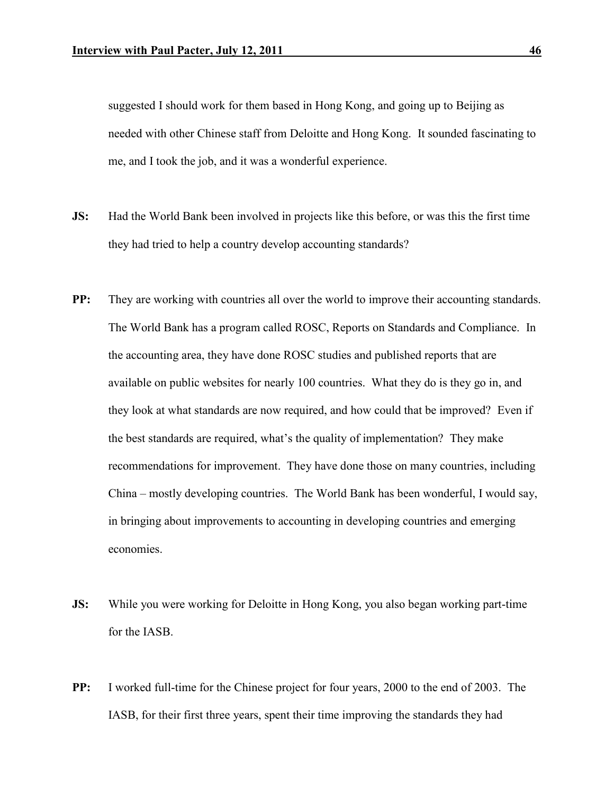suggested I should work for them based in Hong Kong, and going up to Beijing as needed with other Chinese staff from Deloitte and Hong Kong. It sounded fascinating to me, and I took the job, and it was a wonderful experience.

- **JS:** Had the World Bank been involved in projects like this before, or was this the first time they had tried to help a country develop accounting standards?
- **PP:** They are working with countries all over the world to improve their accounting standards. The World Bank has a program called ROSC, Reports on Standards and Compliance. In the accounting area, they have done ROSC studies and published reports that are available on public websites for nearly 100 countries. What they do is they go in, and they look at what standards are now required, and how could that be improved? Even if the best standards are required, what's the quality of implementation? They make recommendations for improvement. They have done those on many countries, including China – mostly developing countries. The World Bank has been wonderful, I would say, in bringing about improvements to accounting in developing countries and emerging economies.
- **JS:** While you were working for Deloitte in Hong Kong, you also began working part-time for the IASB.
- **PP:** I worked full-time for the Chinese project for four years, 2000 to the end of 2003. The IASB, for their first three years, spent their time improving the standards they had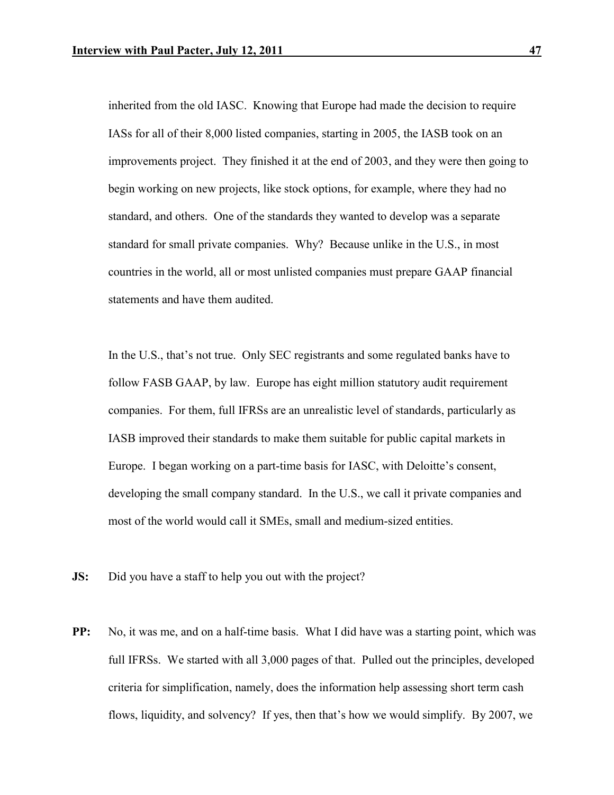inherited from the old IASC. Knowing that Europe had made the decision to require IASs for all of their 8,000 listed companies, starting in 2005, the IASB took on an improvements project. They finished it at the end of 2003, and they were then going to begin working on new projects, like stock options, for example, where they had no standard, and others. One of the standards they wanted to develop was a separate standard for small private companies. Why? Because unlike in the U.S., in most countries in the world, all or most unlisted companies must prepare GAAP financial statements and have them audited.

In the U.S., that's not true. Only SEC registrants and some regulated banks have to follow FASB GAAP, by law. Europe has eight million statutory audit requirement companies. For them, full IFRSs are an unrealistic level of standards, particularly as IASB improved their standards to make them suitable for public capital markets in Europe. I began working on a part-time basis for IASC, with Deloitte's consent, developing the small company standard. In the U.S., we call it private companies and most of the world would call it SMEs, small and medium-sized entities.

- **JS:** Did you have a staff to help you out with the project?
- **PP:** No, it was me, and on a half-time basis. What I did have was a starting point, which was full IFRSs. We started with all 3,000 pages of that. Pulled out the principles, developed criteria for simplification, namely, does the information help assessing short term cash flows, liquidity, and solvency? If yes, then that's how we would simplify. By 2007, we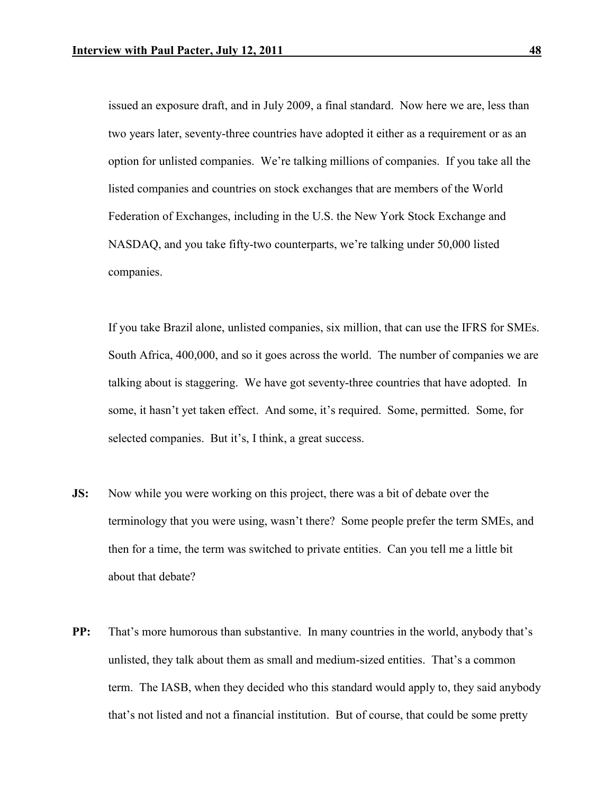issued an exposure draft, and in July 2009, a final standard. Now here we are, less than two years later, seventy-three countries have adopted it either as a requirement or as an option for unlisted companies. We're talking millions of companies. If you take all the listed companies and countries on stock exchanges that are members of the World Federation of Exchanges, including in the U.S. the New York Stock Exchange and NASDAQ, and you take fifty-two counterparts, we're talking under 50,000 listed companies.

If you take Brazil alone, unlisted companies, six million, that can use the IFRS for SMEs. South Africa, 400,000, and so it goes across the world. The number of companies we are talking about is staggering. We have got seventy-three countries that have adopted. In some, it hasn't yet taken effect. And some, it's required. Some, permitted. Some, for selected companies. But it's, I think, a great success.

- **JS:** Now while you were working on this project, there was a bit of debate over the terminology that you were using, wasn't there? Some people prefer the term SMEs, and then for a time, the term was switched to private entities. Can you tell me a little bit about that debate?
- **PP:** That's more humorous than substantive. In many countries in the world, anybody that's unlisted, they talk about them as small and medium-sized entities. That's a common term. The IASB, when they decided who this standard would apply to, they said anybody that's not listed and not a financial institution. But of course, that could be some pretty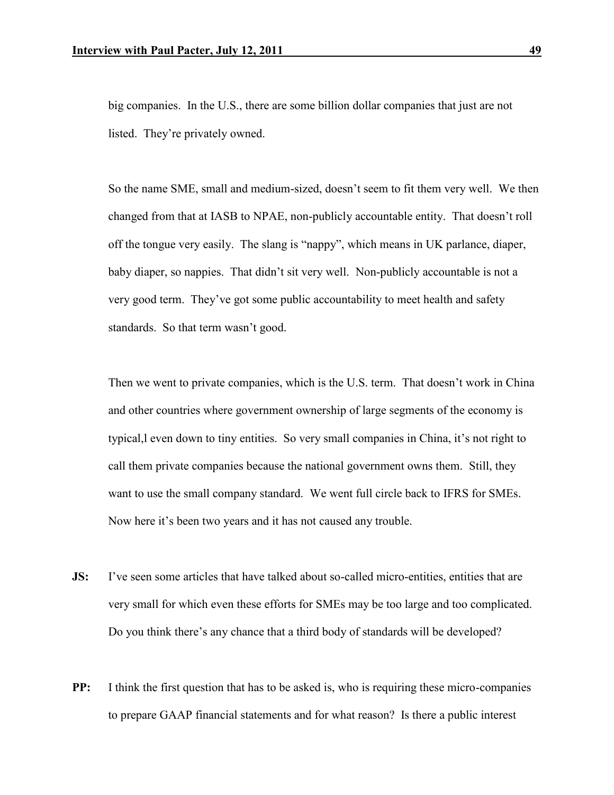big companies. In the U.S., there are some billion dollar companies that just are not listed. They're privately owned.

So the name SME, small and medium-sized, doesn't seem to fit them very well. We then changed from that at IASB to NPAE, non-publicly accountable entity. That doesn't roll off the tongue very easily. The slang is "nappy", which means in UK parlance, diaper, baby diaper, so nappies. That didn't sit very well. Non-publicly accountable is not a very good term. They've got some public accountability to meet health and safety standards. So that term wasn't good.

Then we went to private companies, which is the U.S. term. That doesn't work in China and other countries where government ownership of large segments of the economy is typical,l even down to tiny entities. So very small companies in China, it's not right to call them private companies because the national government owns them. Still, they want to use the small company standard. We went full circle back to IFRS for SMEs. Now here it's been two years and it has not caused any trouble.

- **JS:** I've seen some articles that have talked about so-called micro-entities, entities that are very small for which even these efforts for SMEs may be too large and too complicated. Do you think there's any chance that a third body of standards will be developed?
- **PP:** I think the first question that has to be asked is, who is requiring these micro-companies to prepare GAAP financial statements and for what reason? Is there a public interest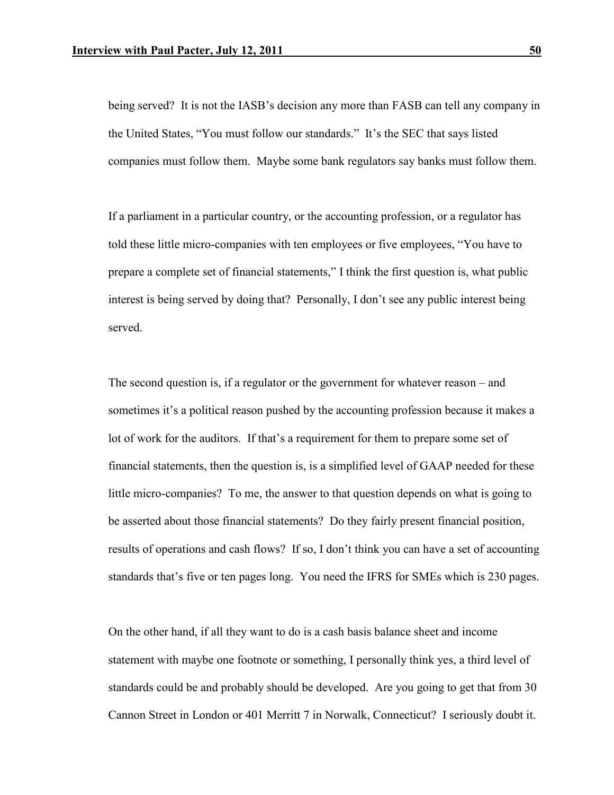being served? It is not the IASB's decision any more than FASB can tell any company in the United States, "You must follow our standards." It's the SEC that says listed companies must follow them. Maybe some bank regulators say banks must follow them.

If a parliament in a particular country, or the accounting profession, or a regulator has told these little micro-companies with ten employees or five employees, "You have to prepare a complete set of financial statements," I think the first question is, what public interest is being served by doing that? Personally, I don't see any public interest being served.

The second question is, if a regulator or the government for whatever reason – and sometimes it's a political reason pushed by the accounting profession because it makes a lot of work for the auditors. If that's a requirement for them to prepare some set of financial statements, then the question is, is a simplified level of GAAP needed for these little micro-companies? To me, the answer to that question depends on what is going to be asserted about those financial statements? Do they fairly present financial position, results of operations and cash flows? If so, I don't think you can have a set of accounting standards that's five or ten pages long. You need the IFRS for SMEs which is 230 pages.

On the other hand, if all they want to do is a cash basis balance sheet and income statement with maybe one footnote or something, I personally think yes, a third level of standards could be and probably should be developed. Are you going to get that from 30 Cannon Street in London or 401 Merritt 7 in Norwalk, Connecticut? I seriously doubt it.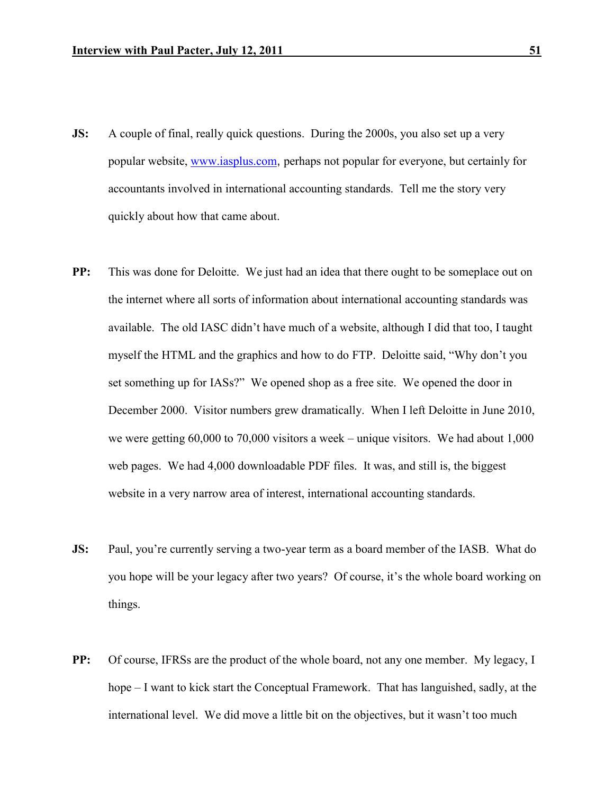- **JS:** A couple of final, really quick questions. During the 2000s, you also set up a very popular website, www.iasplus.com, perhaps not popular for everyone, but certainly for accountants involved in international accounting standards. Tell me the story very quickly about how that came about.
- **PP:** This was done for Deloitte. We just had an idea that there ought to be someplace out on the internet where all sorts of information about international accounting standards was available. The old IASC didn't have much of a website, although I did that too, I taught myself the HTML and the graphics and how to do FTP. Deloitte said, "Why don't you set something up for IASs?" We opened shop as a free site. We opened the door in December 2000. Visitor numbers grew dramatically. When I left Deloitte in June 2010, we were getting 60,000 to 70,000 visitors a week – unique visitors. We had about 1,000 web pages. We had 4,000 downloadable PDF files. It was, and still is, the biggest website in a very narrow area of interest, international accounting standards.
- **JS:** Paul, you're currently serving a two-year term as a board member of the IASB. What do you hope will be your legacy after two years? Of course, it's the whole board working on things.
- **PP:** Of course, IFRSs are the product of the whole board, not any one member. My legacy, I hope – I want to kick start the Conceptual Framework. That has languished, sadly, at the international level. We did move a little bit on the objectives, but it wasn't too much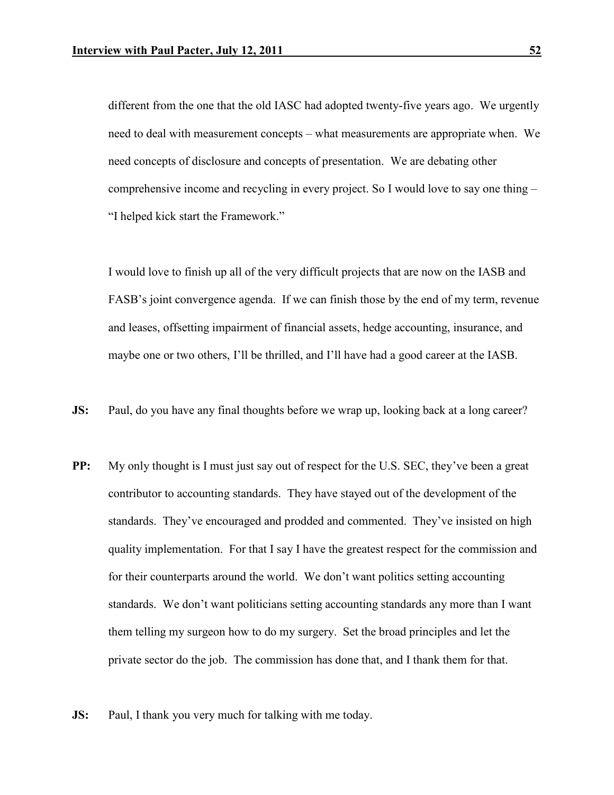different from the one that the old IASC had adopted twenty-five years ago. We urgently need to deal with measurement concepts – what measurements are appropriate when. We need concepts of disclosure and concepts of presentation. We are debating other comprehensive income and recycling in every project. So I would love to say one thing – "I helped kick start the Framework."

I would love to finish up all of the very difficult projects that are now on the IASB and FASB's joint convergence agenda. If we can finish those by the end of my term, revenue and leases, offsetting impairment of financial assets, hedge accounting, insurance, and maybe one or two others, I'll be thrilled, and I'll have had a good career at the IASB.

- **JS:** Paul, do you have any final thoughts before we wrap up, looking back at a long career?
- **PP:** My only thought is I must just say out of respect for the U.S. SEC, they've been a great contributor to accounting standards. They have stayed out of the development of the standards. They've encouraged and prodded and commented. They've insisted on high quality implementation. For that I say I have the greatest respect for the commission and for their counterparts around the world. We don't want politics setting accounting standards. We don't want politicians setting accounting standards any more than I want them telling my surgeon how to do my surgery. Set the broad principles and let the private sector do the job. The commission has done that, and I thank them for that.
- **JS:** Paul, I thank you very much for talking with me today.